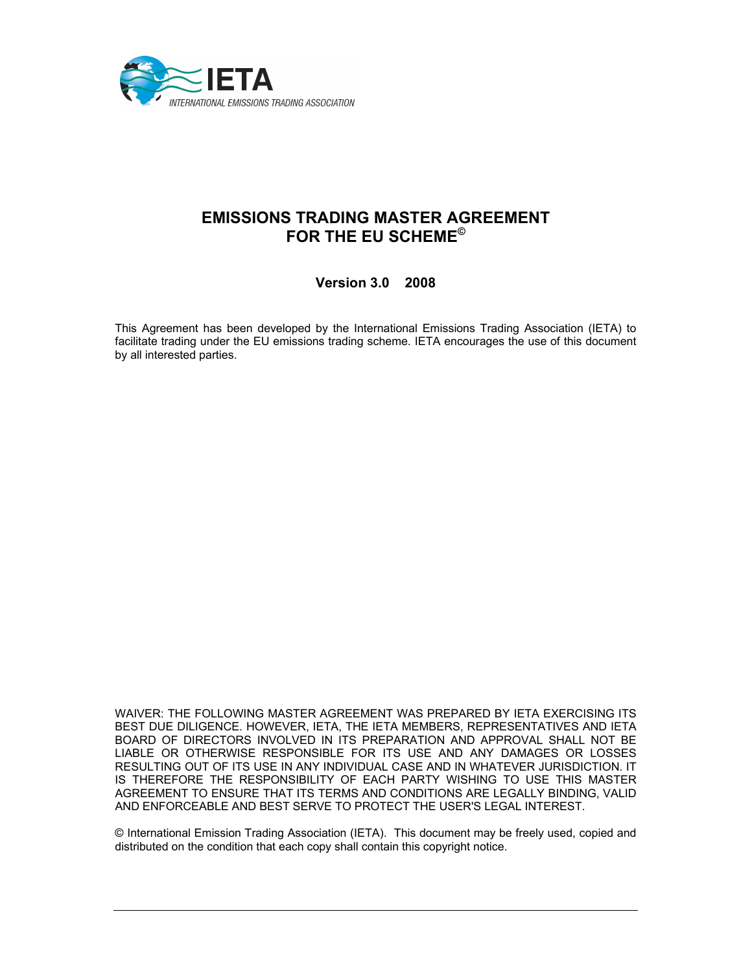

# EMISSIONS TRADING MASTER AGREEMENT FOR THE EU SCHEME $^\circ$

# Version 3.0 2008

This Agreement has been developed by the International Emissions Trading Association (IETA) to facilitate trading under the EU emissions trading scheme. IETA encourages the use of this document by all interested parties.

WAIVER: THE FOLLOWING MASTER AGREEMENT WAS PREPARED BY IETA EXERCISING ITS BEST DUE DILIGENCE. HOWEVER, IETA, THE IETA MEMBERS, REPRESENTATIVES AND IETA BOARD OF DIRECTORS INVOLVED IN ITS PREPARATION AND APPROVAL SHALL NOT BE LIABLE OR OTHERWISE RESPONSIBLE FOR ITS USE AND ANY DAMAGES OR LOSSES RESULTING OUT OF ITS USE IN ANY INDIVIDUAL CASE AND IN WHATEVER JURISDICTION. IT IS THEREFORE THE RESPONSIBILITY OF EACH PARTY WISHING TO USE THIS MASTER AGREEMENT TO ENSURE THAT ITS TERMS AND CONDITIONS ARE LEGALLY BINDING, VALID AND ENFORCEABLE AND BEST SERVE TO PROTECT THE USER'S LEGAL INTEREST.

© International Emission Trading Association (IETA). This document may be freely used, copied and distributed on the condition that each copy shall contain this copyright notice.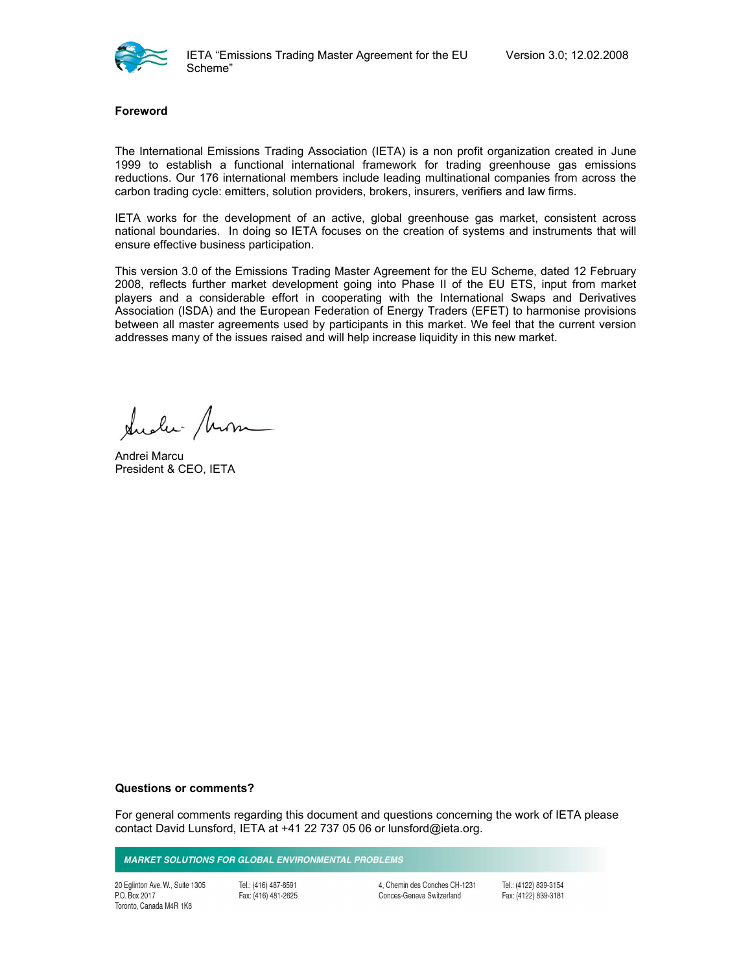

#### Foreword

The International Emissions Trading Association (IETA) is a non profit organization created in June 1999 to establish a functional international framework for trading greenhouse gas emissions reductions. Our 176 international members include leading multinational companies from across the carbon trading cycle: emitters, solution providers, brokers, insurers, verifiers and law firms.

IETA works for the development of an active, global greenhouse gas market, consistent across national boundaries. In doing so IETA focuses on the creation of systems and instruments that will ensure effective business participation.

This version 3.0 of the Emissions Trading Master Agreement for the EU Scheme, dated 12 February 2008, reflects further market development going into Phase II of the EU ETS, input from market players and a considerable effort in cooperating with the International Swaps and Derivatives Association (ISDA) and the European Federation of Energy Traders (EFET) to harmonise provisions between all master agreements used by participants in this market. We feel that the current version addresses many of the issues raised and will help increase liquidity in this new market.

Suche- home

Andrei Marcu President & CEO, IETA

#### Questions or comments?

For general comments regarding this document and questions concerning the work of IETA please contact David Lunsford, IETA at +41 22 737 05 06 or lunsford@ieta.org.

**MARKET SOLUTIONS FOR GLOBAL ENVIRONMENTAL PROBLEMS** 

20 Eglinton Ave. W., Suite 1305 P.O. Box 2017 Toronto, Canada M4R 1K8

Tel.: (416) 487-8591 Fax: (416) 481-2625

4, Chemin des Conches CH-1231 Conces-Geneva Switzerland

Tel.: (4122) 839-3154 Fax: (4122) 839-3181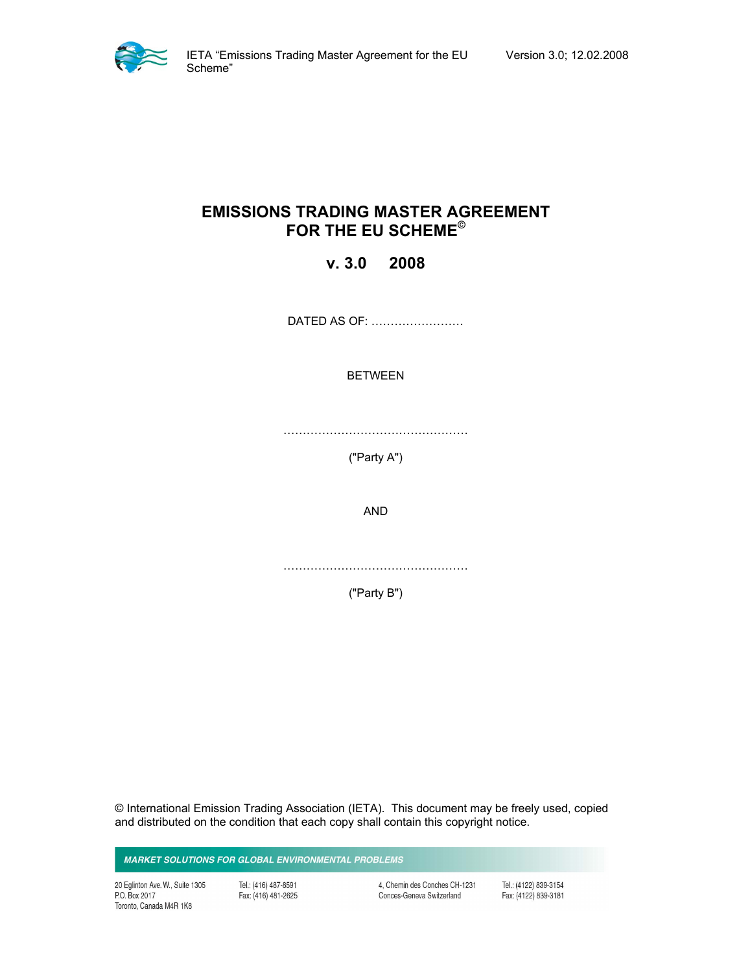

# EMISSIONS TRADING MASTER AGREEMENT FOR THE EU SCHEME©

# v. 3.0 2008

DATED AS OF: ……………………

BETWEEN

…………………………………………

("Party A")

AND

…………………………………………

("Party B")

© International Emission Trading Association (IETA). This document may be freely used, copied and distributed on the condition that each copy shall contain this copyright notice.

**MARKET SOLUTIONS FOR GLOBAL ENVIRONMENTAL PROBLEMS** 

20 Eglinton Ave. W., Suite 1305 P.O. Box 2017 Toronto, Canada M4R 1K8

Tel.: (416) 487-8591 Fax: (416) 481-2625 4, Chemin des Conches CH-1231 Conces-Geneva Switzerland

Tel.: (4122) 839-3154 Fax: (4122) 839-3181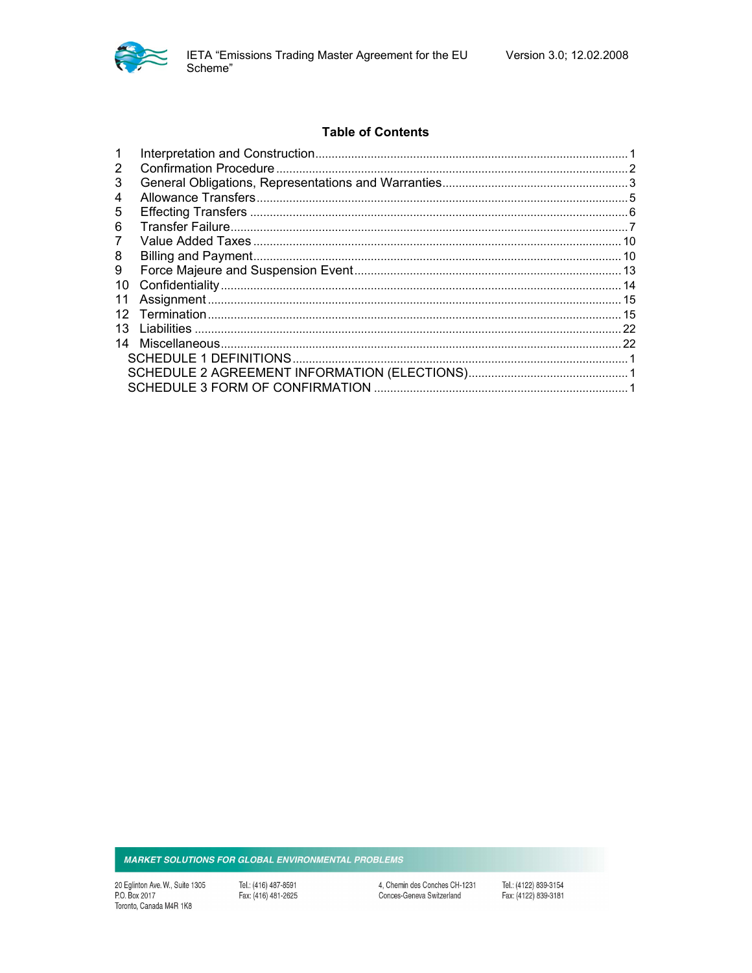

# **Table of Contents**

| 3   |  |  |
|-----|--|--|
| 4   |  |  |
| 5   |  |  |
| 6   |  |  |
|     |  |  |
| 8   |  |  |
| 9   |  |  |
| 10  |  |  |
| 11  |  |  |
| 12. |  |  |
| 13  |  |  |
|     |  |  |
|     |  |  |
|     |  |  |
|     |  |  |
|     |  |  |

**MARKET SOLUTIONS FOR GLOBAL ENVIRONMENTAL PROBLEMS** 

20 Eglinton Ave. W., Suite 1305<br>P.O. Box 2017 Toronto, Canada M4R 1K8

Tel.: (416) 487-8591 Fax: (416) 481-2625

4, Chemin des Conches CH-1231 Conces-Geneva Switzerland

Tel.: (4122) 839-3154<br>Fax: (4122) 839-3181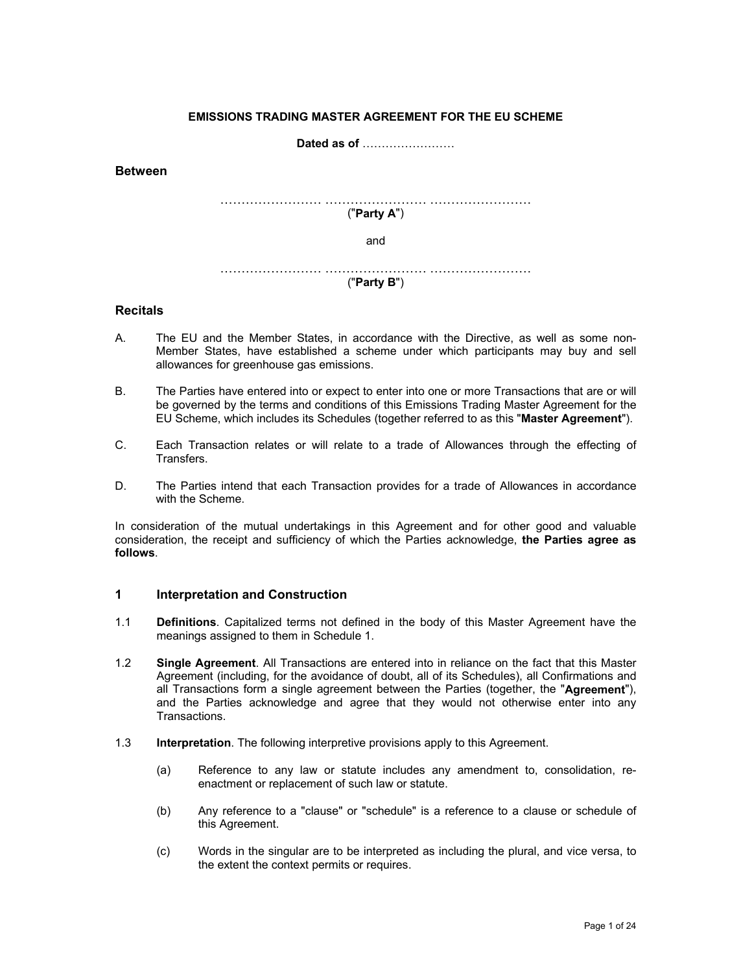# EMISSIONS TRADING MASTER AGREEMENT FOR THE EU SCHEME

Dated as of ……………………

#### Between

…………………… …………………… …………………… ("Party A")

and

# …………………… …………………… …………………… ("Party B")

## Recitals

- A. The EU and the Member States, in accordance with the Directive, as well as some non-Member States, have established a scheme under which participants may buy and sell allowances for greenhouse gas emissions.
- B. The Parties have entered into or expect to enter into one or more Transactions that are or will be governed by the terms and conditions of this Emissions Trading Master Agreement for the EU Scheme, which includes its Schedules (together referred to as this "Master Agreement").
- C. Each Transaction relates or will relate to a trade of Allowances through the effecting of Transfers.
- D. The Parties intend that each Transaction provides for a trade of Allowances in accordance with the Scheme.

In consideration of the mutual undertakings in this Agreement and for other good and valuable consideration, the receipt and sufficiency of which the Parties acknowledge, the Parties agree as follows.

# 1 Interpretation and Construction

- 1.1 Definitions. Capitalized terms not defined in the body of this Master Agreement have the meanings assigned to them in Schedule 1.
- 1.2 Single Agreement. All Transactions are entered into in reliance on the fact that this Master Agreement (including, for the avoidance of doubt, all of its Schedules), all Confirmations and all Transactions form a single agreement between the Parties (together, the "Agreement"), and the Parties acknowledge and agree that they would not otherwise enter into any Transactions.
- 1.3 **Interpretation**. The following interpretive provisions apply to this Agreement.
	- (a) Reference to any law or statute includes any amendment to, consolidation, reenactment or replacement of such law or statute.
	- (b) Any reference to a "clause" or "schedule" is a reference to a clause or schedule of this Agreement.
	- (c) Words in the singular are to be interpreted as including the plural, and vice versa, to the extent the context permits or requires.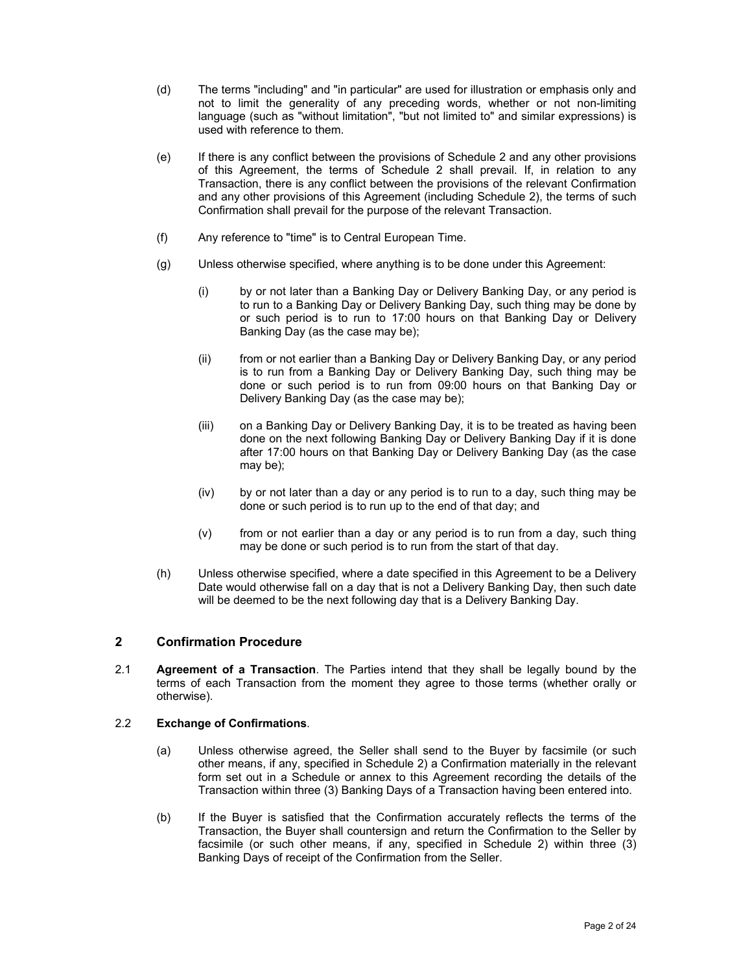- (d) The terms "including" and "in particular" are used for illustration or emphasis only and not to limit the generality of any preceding words, whether or not non-limiting language (such as "without limitation", "but not limited to" and similar expressions) is used with reference to them.
- (e) If there is any conflict between the provisions of Schedule 2 and any other provisions of this Agreement, the terms of Schedule 2 shall prevail. If, in relation to any Transaction, there is any conflict between the provisions of the relevant Confirmation and any other provisions of this Agreement (including Schedule 2), the terms of such Confirmation shall prevail for the purpose of the relevant Transaction.
- (f) Any reference to "time" is to Central European Time.
- (g) Unless otherwise specified, where anything is to be done under this Agreement:
	- (i) by or not later than a Banking Day or Delivery Banking Day, or any period is to run to a Banking Day or Delivery Banking Day, such thing may be done by or such period is to run to 17:00 hours on that Banking Day or Delivery Banking Day (as the case may be);
	- (ii) from or not earlier than a Banking Day or Delivery Banking Day, or any period is to run from a Banking Day or Delivery Banking Day, such thing may be done or such period is to run from 09:00 hours on that Banking Day or Delivery Banking Day (as the case may be);
	- (iii) on a Banking Day or Delivery Banking Day, it is to be treated as having been done on the next following Banking Day or Delivery Banking Day if it is done after 17:00 hours on that Banking Day or Delivery Banking Day (as the case may be);
	- (iv) by or not later than a day or any period is to run to a day, such thing may be done or such period is to run up to the end of that day; and
	- (v) from or not earlier than a day or any period is to run from a day, such thing may be done or such period is to run from the start of that day.
- (h) Unless otherwise specified, where a date specified in this Agreement to be a Delivery Date would otherwise fall on a day that is not a Delivery Banking Day, then such date will be deemed to be the next following day that is a Delivery Banking Day.

# 2 Confirmation Procedure

2.1 **Agreement of a Transaction**. The Parties intend that they shall be legally bound by the terms of each Transaction from the moment they agree to those terms (whether orally or otherwise).

# 2.2 Exchange of Confirmations.

- (a) Unless otherwise agreed, the Seller shall send to the Buyer by facsimile (or such other means, if any, specified in Schedule 2) a Confirmation materially in the relevant form set out in a Schedule or annex to this Agreement recording the details of the Transaction within three (3) Banking Days of a Transaction having been entered into.
- (b) If the Buyer is satisfied that the Confirmation accurately reflects the terms of the Transaction, the Buyer shall countersign and return the Confirmation to the Seller by facsimile (or such other means, if any, specified in Schedule 2) within three (3) Banking Days of receipt of the Confirmation from the Seller.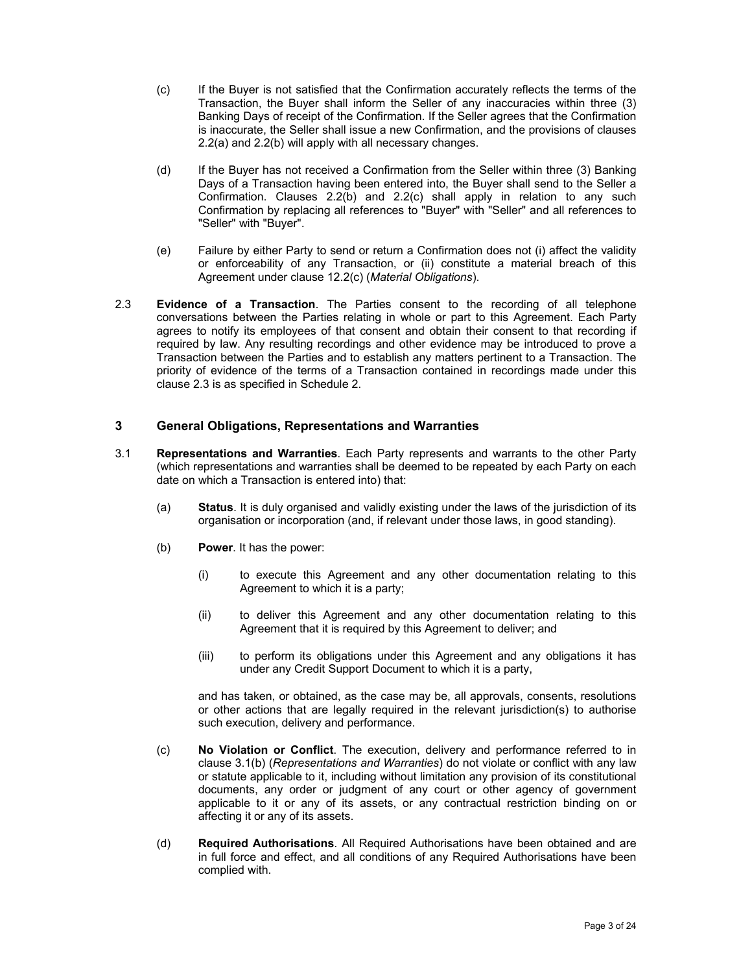- (c) If the Buyer is not satisfied that the Confirmation accurately reflects the terms of the Transaction, the Buyer shall inform the Seller of any inaccuracies within three (3) Banking Days of receipt of the Confirmation. If the Seller agrees that the Confirmation is inaccurate, the Seller shall issue a new Confirmation, and the provisions of clauses 2.2(a) and 2.2(b) will apply with all necessary changes.
- (d) If the Buyer has not received a Confirmation from the Seller within three (3) Banking Days of a Transaction having been entered into, the Buyer shall send to the Seller a Confirmation. Clauses 2.2(b) and 2.2(c) shall apply in relation to any such Confirmation by replacing all references to "Buyer" with "Seller" and all references to "Seller" with "Buyer".
- (e) Failure by either Party to send or return a Confirmation does not (i) affect the validity or enforceability of any Transaction, or (ii) constitute a material breach of this Agreement under clause 12.2(c) (Material Obligations).
- 2.3 Evidence of a Transaction. The Parties consent to the recording of all telephone conversations between the Parties relating in whole or part to this Agreement. Each Party agrees to notify its employees of that consent and obtain their consent to that recording if required by law. Any resulting recordings and other evidence may be introduced to prove a Transaction between the Parties and to establish any matters pertinent to a Transaction. The priority of evidence of the terms of a Transaction contained in recordings made under this clause 2.3 is as specified in Schedule 2.

# 3 General Obligations, Representations and Warranties

- 3.1 Representations and Warranties. Each Party represents and warrants to the other Party (which representations and warranties shall be deemed to be repeated by each Party on each date on which a Transaction is entered into) that:
	- (a) Status. It is duly organised and validly existing under the laws of the jurisdiction of its organisation or incorporation (and, if relevant under those laws, in good standing).
	- (b) Power. It has the power:
		- (i) to execute this Agreement and any other documentation relating to this Agreement to which it is a party;
		- (ii) to deliver this Agreement and any other documentation relating to this Agreement that it is required by this Agreement to deliver; and
		- (iii) to perform its obligations under this Agreement and any obligations it has under any Credit Support Document to which it is a party,

and has taken, or obtained, as the case may be, all approvals, consents, resolutions or other actions that are legally required in the relevant jurisdiction(s) to authorise such execution, delivery and performance.

- (c) No Violation or Conflict. The execution, delivery and performance referred to in clause 3.1(b) (Representations and Warranties) do not violate or conflict with any law or statute applicable to it, including without limitation any provision of its constitutional documents, any order or judgment of any court or other agency of government applicable to it or any of its assets, or any contractual restriction binding on or affecting it or any of its assets.
- (d) Required Authorisations. All Required Authorisations have been obtained and are in full force and effect, and all conditions of any Required Authorisations have been complied with.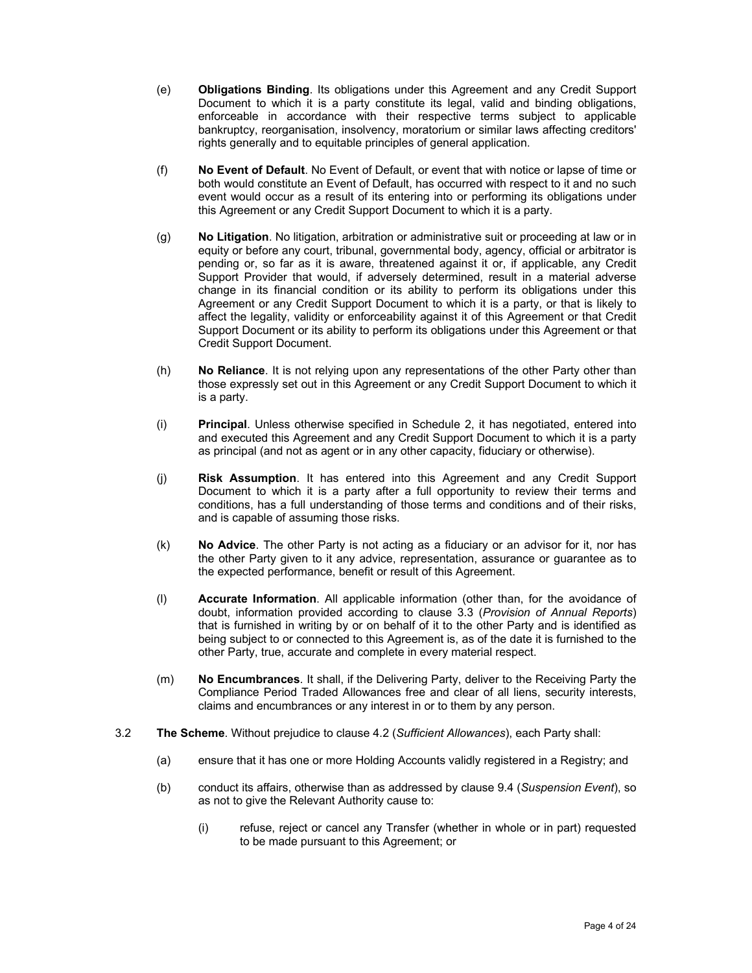- (e) Obligations Binding. Its obligations under this Agreement and any Credit Support Document to which it is a party constitute its legal, valid and binding obligations, enforceable in accordance with their respective terms subject to applicable bankruptcy, reorganisation, insolvency, moratorium or similar laws affecting creditors' rights generally and to equitable principles of general application.
- (f) No Event of Default. No Event of Default, or event that with notice or lapse of time or both would constitute an Event of Default, has occurred with respect to it and no such event would occur as a result of its entering into or performing its obligations under this Agreement or any Credit Support Document to which it is a party.
- (g) No Litigation. No litigation, arbitration or administrative suit or proceeding at law or in equity or before any court, tribunal, governmental body, agency, official or arbitrator is pending or, so far as it is aware, threatened against it or, if applicable, any Credit Support Provider that would, if adversely determined, result in a material adverse change in its financial condition or its ability to perform its obligations under this Agreement or any Credit Support Document to which it is a party, or that is likely to affect the legality, validity or enforceability against it of this Agreement or that Credit Support Document or its ability to perform its obligations under this Agreement or that Credit Support Document.
- (h) No Reliance. It is not relying upon any representations of the other Party other than those expressly set out in this Agreement or any Credit Support Document to which it is a party.
- (i) Principal. Unless otherwise specified in Schedule 2, it has negotiated, entered into and executed this Agreement and any Credit Support Document to which it is a party as principal (and not as agent or in any other capacity, fiduciary or otherwise).
- (j) Risk Assumption. It has entered into this Agreement and any Credit Support Document to which it is a party after a full opportunity to review their terms and conditions, has a full understanding of those terms and conditions and of their risks, and is capable of assuming those risks.
- $(k)$  No Advice. The other Party is not acting as a fiduciary or an advisor for it, nor has the other Party given to it any advice, representation, assurance or guarantee as to the expected performance, benefit or result of this Agreement.
- (l) Accurate Information. All applicable information (other than, for the avoidance of doubt, information provided according to clause 3.3 (Provision of Annual Reports) that is furnished in writing by or on behalf of it to the other Party and is identified as being subject to or connected to this Agreement is, as of the date it is furnished to the other Party, true, accurate and complete in every material respect.
- (m) No Encumbrances. It shall, if the Delivering Party, deliver to the Receiving Party the Compliance Period Traded Allowances free and clear of all liens, security interests, claims and encumbrances or any interest in or to them by any person.
- 3.2 The Scheme. Without prejudice to clause 4.2 (Sufficient Allowances), each Party shall:
	- (a) ensure that it has one or more Holding Accounts validly registered in a Registry; and
	- (b) conduct its affairs, otherwise than as addressed by clause  $9.4$  (Suspension Event), so as not to give the Relevant Authority cause to:
		- (i) refuse, reject or cancel any Transfer (whether in whole or in part) requested to be made pursuant to this Agreement; or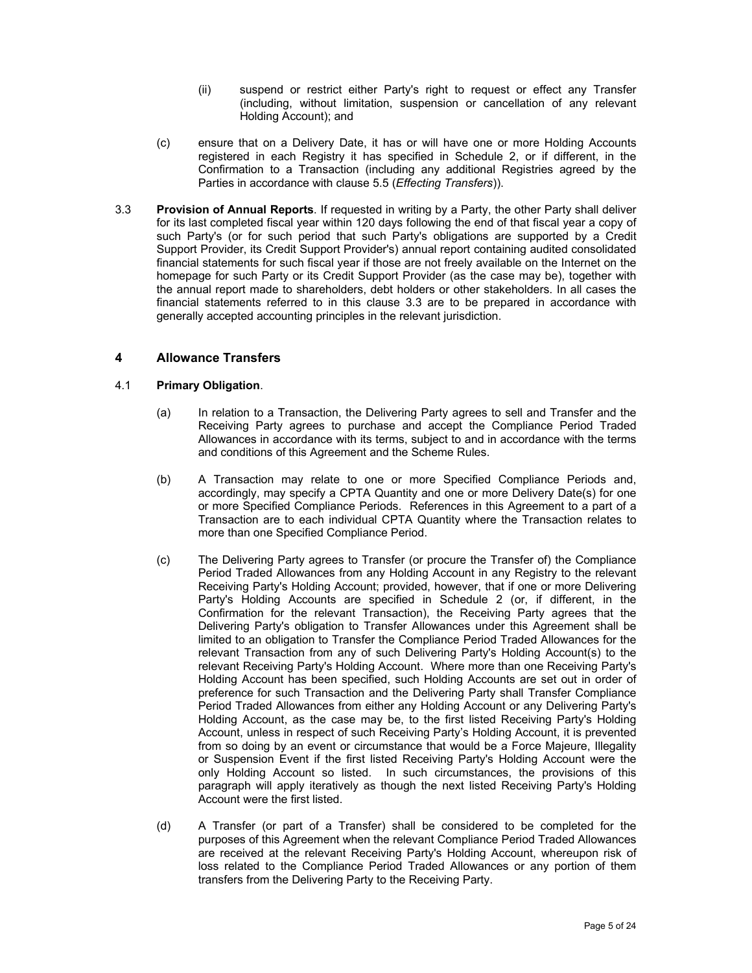- (ii) suspend or restrict either Party's right to request or effect any Transfer (including, without limitation, suspension or cancellation of any relevant Holding Account); and
- (c) ensure that on a Delivery Date, it has or will have one or more Holding Accounts registered in each Registry it has specified in Schedule 2, or if different, in the Confirmation to a Transaction (including any additional Registries agreed by the Parties in accordance with clause 5.5 (Effecting Transfers)).
- 3.3 Provision of Annual Reports. If requested in writing by a Party, the other Party shall deliver for its last completed fiscal year within 120 days following the end of that fiscal year a copy of such Party's (or for such period that such Party's obligations are supported by a Credit Support Provider, its Credit Support Provider's) annual report containing audited consolidated financial statements for such fiscal year if those are not freely available on the Internet on the homepage for such Party or its Credit Support Provider (as the case may be), together with the annual report made to shareholders, debt holders or other stakeholders. In all cases the financial statements referred to in this clause 3.3 are to be prepared in accordance with generally accepted accounting principles in the relevant jurisdiction.

# 4 Allowance Transfers

### 4.1 Primary Obligation.

- (a) In relation to a Transaction, the Delivering Party agrees to sell and Transfer and the Receiving Party agrees to purchase and accept the Compliance Period Traded Allowances in accordance with its terms, subject to and in accordance with the terms and conditions of this Agreement and the Scheme Rules.
- (b) A Transaction may relate to one or more Specified Compliance Periods and, accordingly, may specify a CPTA Quantity and one or more Delivery Date(s) for one or more Specified Compliance Periods. References in this Agreement to a part of a Transaction are to each individual CPTA Quantity where the Transaction relates to more than one Specified Compliance Period.
- (c) The Delivering Party agrees to Transfer (or procure the Transfer of) the Compliance Period Traded Allowances from any Holding Account in any Registry to the relevant Receiving Party's Holding Account; provided, however, that if one or more Delivering Party's Holding Accounts are specified in Schedule 2 (or, if different, in the Confirmation for the relevant Transaction), the Receiving Party agrees that the Delivering Party's obligation to Transfer Allowances under this Agreement shall be limited to an obligation to Transfer the Compliance Period Traded Allowances for the relevant Transaction from any of such Delivering Party's Holding Account(s) to the relevant Receiving Party's Holding Account. Where more than one Receiving Party's Holding Account has been specified, such Holding Accounts are set out in order of preference for such Transaction and the Delivering Party shall Transfer Compliance Period Traded Allowances from either any Holding Account or any Delivering Party's Holding Account, as the case may be, to the first listed Receiving Party's Holding Account, unless in respect of such Receiving Party's Holding Account, it is prevented from so doing by an event or circumstance that would be a Force Majeure, Illegality or Suspension Event if the first listed Receiving Party's Holding Account were the only Holding Account so listed. In such circumstances, the provisions of this paragraph will apply iteratively as though the next listed Receiving Party's Holding Account were the first listed.
- (d) A Transfer (or part of a Transfer) shall be considered to be completed for the purposes of this Agreement when the relevant Compliance Period Traded Allowances are received at the relevant Receiving Party's Holding Account, whereupon risk of loss related to the Compliance Period Traded Allowances or any portion of them transfers from the Delivering Party to the Receiving Party.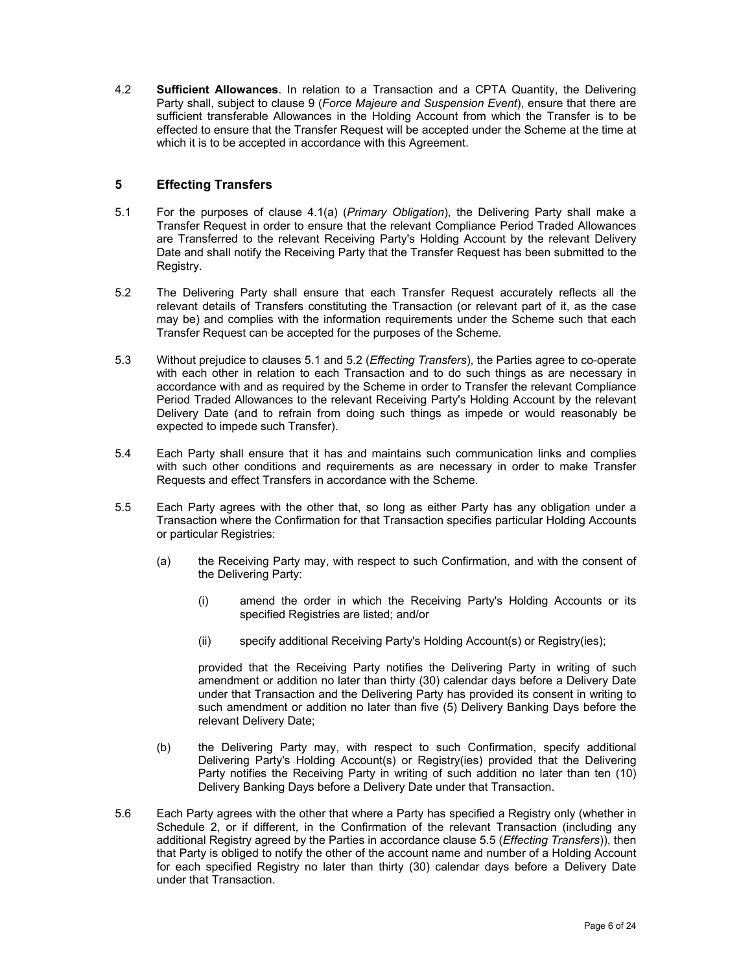4.2 Sufficient Allowances. In relation to a Transaction and a CPTA Quantity, the Delivering Party shall, subject to clause 9 (Force Majeure and Suspension Event), ensure that there are sufficient transferable Allowances in the Holding Account from which the Transfer is to be effected to ensure that the Transfer Request will be accepted under the Scheme at the time at which it is to be accepted in accordance with this Agreement.

# 5 Effecting Transfers

- 5.1 For the purposes of clause 4.1(a) (Primary Obligation), the Delivering Party shall make a Transfer Request in order to ensure that the relevant Compliance Period Traded Allowances are Transferred to the relevant Receiving Party's Holding Account by the relevant Delivery Date and shall notify the Receiving Party that the Transfer Request has been submitted to the Registry.
- 5.2 The Delivering Party shall ensure that each Transfer Request accurately reflects all the relevant details of Transfers constituting the Transaction (or relevant part of it, as the case may be) and complies with the information requirements under the Scheme such that each Transfer Request can be accepted for the purposes of the Scheme.
- 5.3 Without prejudice to clauses 5.1 and 5.2 (*Effecting Transfers*), the Parties agree to co-operate with each other in relation to each Transaction and to do such things as are necessary in accordance with and as required by the Scheme in order to Transfer the relevant Compliance Period Traded Allowances to the relevant Receiving Party's Holding Account by the relevant Delivery Date (and to refrain from doing such things as impede or would reasonably be expected to impede such Transfer).
- 5.4 Each Party shall ensure that it has and maintains such communication links and complies with such other conditions and requirements as are necessary in order to make Transfer Requests and effect Transfers in accordance with the Scheme.
- 5.5 Each Party agrees with the other that, so long as either Party has any obligation under a Transaction where the Confirmation for that Transaction specifies particular Holding Accounts or particular Registries:
	- (a) the Receiving Party may, with respect to such Confirmation, and with the consent of the Delivering Party:
		- (i) amend the order in which the Receiving Party's Holding Accounts or its specified Registries are listed; and/or
		- (ii) specify additional Receiving Party's Holding Account(s) or Registry(ies);

provided that the Receiving Party notifies the Delivering Party in writing of such amendment or addition no later than thirty (30) calendar days before a Delivery Date under that Transaction and the Delivering Party has provided its consent in writing to such amendment or addition no later than five (5) Delivery Banking Days before the relevant Delivery Date;

- (b) the Delivering Party may, with respect to such Confirmation, specify additional Delivering Party's Holding Account(s) or Registry(ies) provided that the Delivering Party notifies the Receiving Party in writing of such addition no later than ten (10) Delivery Banking Days before a Delivery Date under that Transaction.
- 5.6 Each Party agrees with the other that where a Party has specified a Registry only (whether in Schedule 2, or if different, in the Confirmation of the relevant Transaction (including any additional Registry agreed by the Parties in accordance clause 5.5 (*Effecting Transfers*)), then that Party is obliged to notify the other of the account name and number of a Holding Account for each specified Registry no later than thirty (30) calendar days before a Delivery Date under that Transaction.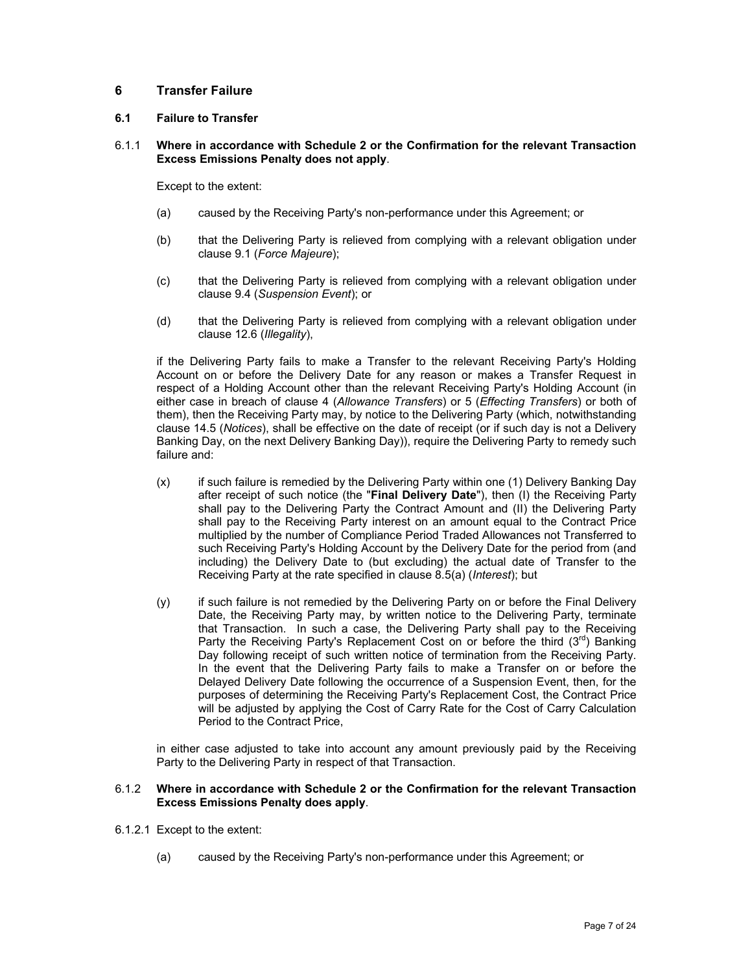## 6 Transfer Failure

### 6.1 Failure to Transfer

### 6.1.1 Where in accordance with Schedule 2 or the Confirmation for the relevant Transaction Excess Emissions Penalty does not apply.

Except to the extent:

- (a) caused by the Receiving Party's non-performance under this Agreement; or
- (b) that the Delivering Party is relieved from complying with a relevant obligation under clause 9.1 (Force Majeure);
- (c) that the Delivering Party is relieved from complying with a relevant obligation under clause 9.4 (Suspension Event); or
- (d) that the Delivering Party is relieved from complying with a relevant obligation under clause 12.6 (Illegality),

if the Delivering Party fails to make a Transfer to the relevant Receiving Party's Holding Account on or before the Delivery Date for any reason or makes a Transfer Request in respect of a Holding Account other than the relevant Receiving Party's Holding Account (in either case in breach of clause 4 (Allowance Transfers) or 5 (Effecting Transfers) or both of them), then the Receiving Party may, by notice to the Delivering Party (which, notwithstanding clause 14.5 (Notices), shall be effective on the date of receipt (or if such day is not a Delivery Banking Day, on the next Delivery Banking Day)), require the Delivering Party to remedy such failure and:

- (x) if such failure is remedied by the Delivering Party within one (1) Delivery Banking Day after receipt of such notice (the "Final Delivery Date"), then (I) the Receiving Party shall pay to the Delivering Party the Contract Amount and (II) the Delivering Party shall pay to the Receiving Party interest on an amount equal to the Contract Price multiplied by the number of Compliance Period Traded Allowances not Transferred to such Receiving Party's Holding Account by the Delivery Date for the period from (and including) the Delivery Date to (but excluding) the actual date of Transfer to the Receiving Party at the rate specified in clause 8.5(a) (Interest); but
- (y) if such failure is not remedied by the Delivering Party on or before the Final Delivery Date, the Receiving Party may, by written notice to the Delivering Party, terminate that Transaction. In such a case, the Delivering Party shall pay to the Receiving Party the Receiving Party's Replacement Cost on or before the third  $(3<sup>rd</sup>)$  Banking Day following receipt of such written notice of termination from the Receiving Party. In the event that the Delivering Party fails to make a Transfer on or before the Delayed Delivery Date following the occurrence of a Suspension Event, then, for the purposes of determining the Receiving Party's Replacement Cost, the Contract Price will be adjusted by applying the Cost of Carry Rate for the Cost of Carry Calculation Period to the Contract Price,

in either case adjusted to take into account any amount previously paid by the Receiving Party to the Delivering Party in respect of that Transaction.

### 6.1.2 Where in accordance with Schedule 2 or the Confirmation for the relevant Transaction Excess Emissions Penalty does apply.

- 6.1.2.1 Except to the extent:
	- (a) caused by the Receiving Party's non-performance under this Agreement; or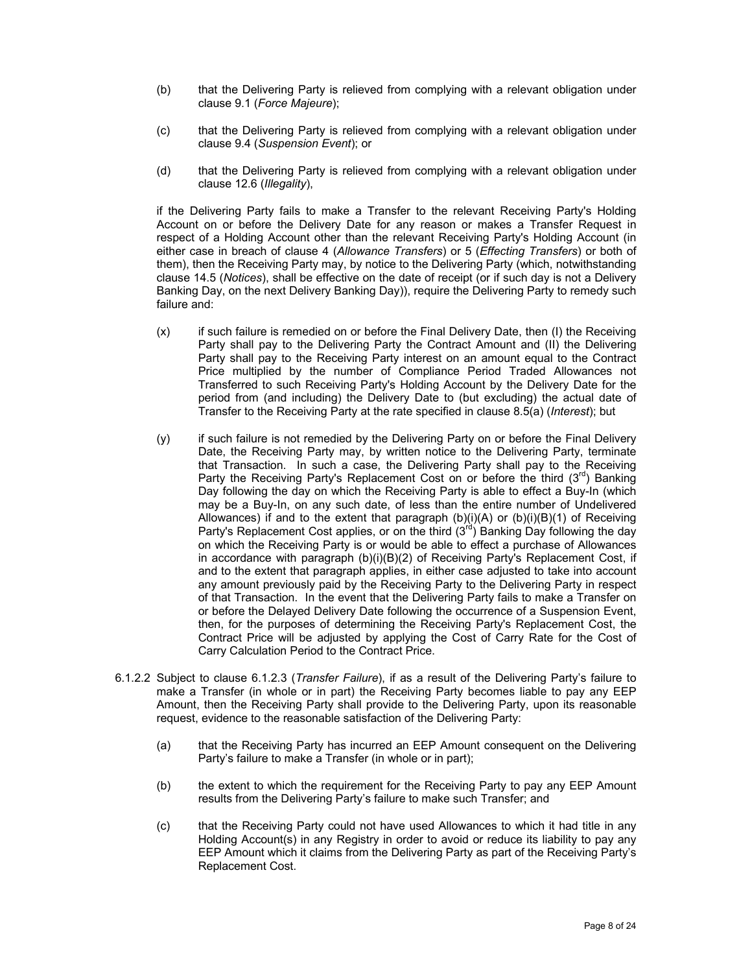- (b) that the Delivering Party is relieved from complying with a relevant obligation under clause 9.1 (Force Majeure);
- (c) that the Delivering Party is relieved from complying with a relevant obligation under clause 9.4 (Suspension Event); or
- (d) that the Delivering Party is relieved from complying with a relevant obligation under clause 12.6 (Illegality),

if the Delivering Party fails to make a Transfer to the relevant Receiving Party's Holding Account on or before the Delivery Date for any reason or makes a Transfer Request in respect of a Holding Account other than the relevant Receiving Party's Holding Account (in either case in breach of clause 4 (Allowance Transfers) or 5 (Effecting Transfers) or both of them), then the Receiving Party may, by notice to the Delivering Party (which, notwithstanding clause 14.5 (Notices), shall be effective on the date of receipt (or if such day is not a Delivery Banking Day, on the next Delivery Banking Day)), require the Delivering Party to remedy such failure and:

- (x) if such failure is remedied on or before the Final Delivery Date, then (I) the Receiving Party shall pay to the Delivering Party the Contract Amount and (II) the Delivering Party shall pay to the Receiving Party interest on an amount equal to the Contract Price multiplied by the number of Compliance Period Traded Allowances not Transferred to such Receiving Party's Holding Account by the Delivery Date for the period from (and including) the Delivery Date to (but excluding) the actual date of Transfer to the Receiving Party at the rate specified in clause 8.5(a) (Interest); but
- (y) if such failure is not remedied by the Delivering Party on or before the Final Delivery Date, the Receiving Party may, by written notice to the Delivering Party, terminate that Transaction. In such a case, the Delivering Party shall pay to the Receiving Party the Receiving Party's Replacement Cost on or before the third  $(3<sup>rd</sup>)$  Banking Day following the day on which the Receiving Party is able to effect a Buy-In (which may be a Buy-In, on any such date, of less than the entire number of Undelivered Allowances) if and to the extent that paragraph  $(b)(i)(A)$  or  $(b)(i)(B)(1)$  of Receiving Party's Replacement Cost applies, or on the third  $(3<sup>rd</sup>)$  Banking Day following the day on which the Receiving Party is or would be able to effect a purchase of Allowances in accordance with paragraph  $(b)(i)(B)(2)$  of Receiving Party's Replacement Cost, if and to the extent that paragraph applies, in either case adjusted to take into account any amount previously paid by the Receiving Party to the Delivering Party in respect of that Transaction. In the event that the Delivering Party fails to make a Transfer on or before the Delayed Delivery Date following the occurrence of a Suspension Event, then, for the purposes of determining the Receiving Party's Replacement Cost, the Contract Price will be adjusted by applying the Cost of Carry Rate for the Cost of Carry Calculation Period to the Contract Price.
- 6.1.2.2 Subject to clause 6.1.2.3 (Transfer Failure), if as a result of the Delivering Party's failure to make a Transfer (in whole or in part) the Receiving Party becomes liable to pay any EEP Amount, then the Receiving Party shall provide to the Delivering Party, upon its reasonable request, evidence to the reasonable satisfaction of the Delivering Party:
	- (a) that the Receiving Party has incurred an EEP Amount consequent on the Delivering Party's failure to make a Transfer (in whole or in part);
	- (b) the extent to which the requirement for the Receiving Party to pay any EEP Amount results from the Delivering Party's failure to make such Transfer; and
	- (c) that the Receiving Party could not have used Allowances to which it had title in any Holding Account(s) in any Registry in order to avoid or reduce its liability to pay any EEP Amount which it claims from the Delivering Party as part of the Receiving Party's Replacement Cost.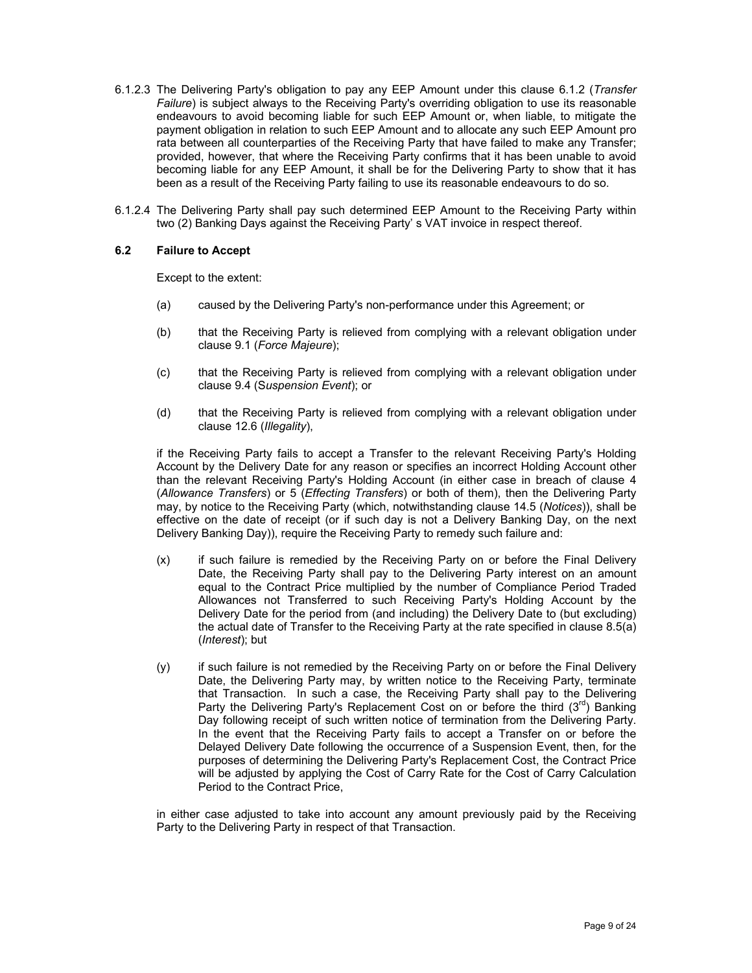- 6.1.2.3 The Delivering Party's obligation to pay any EEP Amount under this clause 6.1.2 (Transfer Failure) is subject always to the Receiving Party's overriding obligation to use its reasonable endeavours to avoid becoming liable for such EEP Amount or, when liable, to mitigate the payment obligation in relation to such EEP Amount and to allocate any such EEP Amount pro rata between all counterparties of the Receiving Party that have failed to make any Transfer; provided, however, that where the Receiving Party confirms that it has been unable to avoid becoming liable for any EEP Amount, it shall be for the Delivering Party to show that it has been as a result of the Receiving Party failing to use its reasonable endeavours to do so.
- 6.1.2.4 The Delivering Party shall pay such determined EEP Amount to the Receiving Party within two (2) Banking Days against the Receiving Party' s VAT invoice in respect thereof.

### 6.2 Failure to Accept

Except to the extent:

- (a) caused by the Delivering Party's non-performance under this Agreement; or
- (b) that the Receiving Party is relieved from complying with a relevant obligation under clause 9.1 (Force Majeure);
- (c) that the Receiving Party is relieved from complying with a relevant obligation under clause 9.4 (Suspension Event); or
- (d) that the Receiving Party is relieved from complying with a relevant obligation under clause 12.6 (Illegality),

if the Receiving Party fails to accept a Transfer to the relevant Receiving Party's Holding Account by the Delivery Date for any reason or specifies an incorrect Holding Account other than the relevant Receiving Party's Holding Account (in either case in breach of clause 4 (Allowance Transfers) or 5 (Effecting Transfers) or both of them), then the Delivering Party may, by notice to the Receiving Party (which, notwithstanding clause 14.5 (Notices)), shall be effective on the date of receipt (or if such day is not a Delivery Banking Day, on the next Delivery Banking Day)), require the Receiving Party to remedy such failure and:

- (x) if such failure is remedied by the Receiving Party on or before the Final Delivery Date, the Receiving Party shall pay to the Delivering Party interest on an amount equal to the Contract Price multiplied by the number of Compliance Period Traded Allowances not Transferred to such Receiving Party's Holding Account by the Delivery Date for the period from (and including) the Delivery Date to (but excluding) the actual date of Transfer to the Receiving Party at the rate specified in clause 8.5(a) (Interest); but
- (y) if such failure is not remedied by the Receiving Party on or before the Final Delivery Date, the Delivering Party may, by written notice to the Receiving Party, terminate that Transaction. In such a case, the Receiving Party shall pay to the Delivering Party the Delivering Party's Replacement Cost on or before the third  $(3^{10})$  Banking Day following receipt of such written notice of termination from the Delivering Party. In the event that the Receiving Party fails to accept a Transfer on or before the Delayed Delivery Date following the occurrence of a Suspension Event, then, for the purposes of determining the Delivering Party's Replacement Cost, the Contract Price will be adjusted by applying the Cost of Carry Rate for the Cost of Carry Calculation Period to the Contract Price,

in either case adjusted to take into account any amount previously paid by the Receiving Party to the Delivering Party in respect of that Transaction.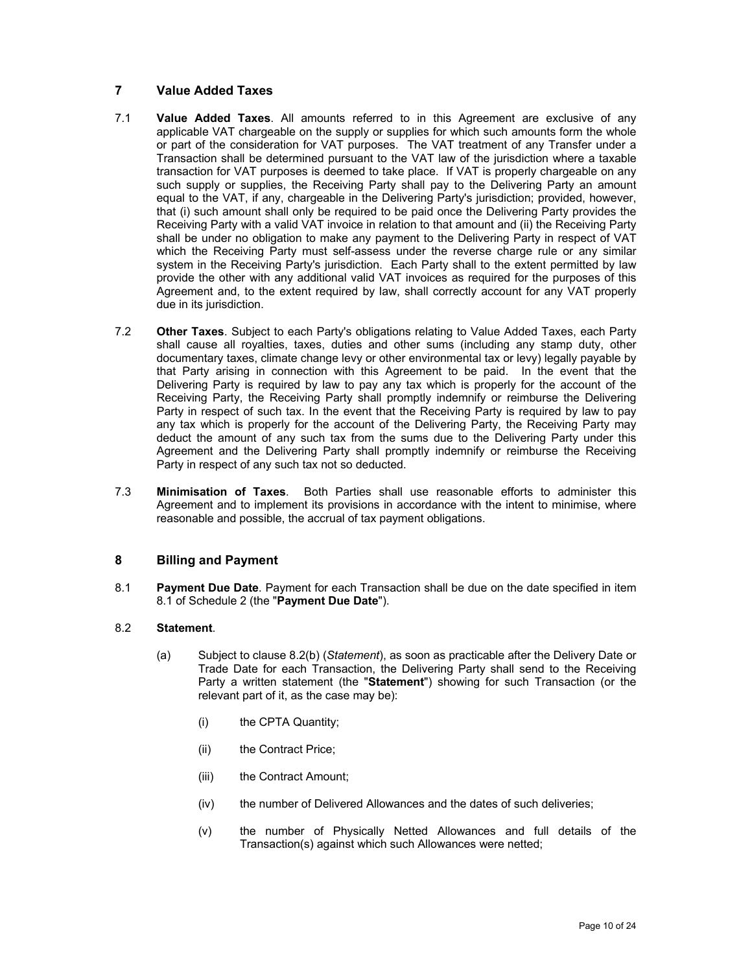# 7 Value Added Taxes

- 7.1 **Value Added Taxes**. All amounts referred to in this Agreement are exclusive of any applicable VAT chargeable on the supply or supplies for which such amounts form the whole or part of the consideration for VAT purposes. The VAT treatment of any Transfer under a Transaction shall be determined pursuant to the VAT law of the jurisdiction where a taxable transaction for VAT purposes is deemed to take place. If VAT is properly chargeable on any such supply or supplies, the Receiving Party shall pay to the Delivering Party an amount equal to the VAT, if any, chargeable in the Delivering Party's jurisdiction; provided, however, that (i) such amount shall only be required to be paid once the Delivering Party provides the Receiving Party with a valid VAT invoice in relation to that amount and (ii) the Receiving Party shall be under no obligation to make any payment to the Delivering Party in respect of VAT which the Receiving Party must self-assess under the reverse charge rule or any similar system in the Receiving Party's jurisdiction. Each Party shall to the extent permitted by law provide the other with any additional valid VAT invoices as required for the purposes of this Agreement and, to the extent required by law, shall correctly account for any VAT properly due in its jurisdiction.
- 7.2 **Other Taxes**. Subject to each Party's obligations relating to Value Added Taxes, each Party shall cause all royalties, taxes, duties and other sums (including any stamp duty, other documentary taxes, climate change levy or other environmental tax or levy) legally payable by that Party arising in connection with this Agreement to be paid. In the event that the Delivering Party is required by law to pay any tax which is properly for the account of the Receiving Party, the Receiving Party shall promptly indemnify or reimburse the Delivering Party in respect of such tax. In the event that the Receiving Party is required by law to pay any tax which is properly for the account of the Delivering Party, the Receiving Party may deduct the amount of any such tax from the sums due to the Delivering Party under this Agreement and the Delivering Party shall promptly indemnify or reimburse the Receiving Party in respect of any such tax not so deducted.
- 7.3 Minimisation of Taxes. Both Parties shall use reasonable efforts to administer this Agreement and to implement its provisions in accordance with the intent to minimise, where reasonable and possible, the accrual of tax payment obligations.

# 8 Billing and Payment

8.1 Payment Due Date. Payment for each Transaction shall be due on the date specified in item 8.1 of Schedule 2 (the "Payment Due Date").

# 8.2 Statement.

- (a) Subject to clause 8.2(b) (Statement), as soon as practicable after the Delivery Date or Trade Date for each Transaction, the Delivering Party shall send to the Receiving Party a written statement (the "Statement") showing for such Transaction (or the relevant part of it, as the case may be):
	- (i) the CPTA Quantity;
	- (ii) the Contract Price;
	- (iii) the Contract Amount;
	- (iv) the number of Delivered Allowances and the dates of such deliveries;
	- (v) the number of Physically Netted Allowances and full details of the Transaction(s) against which such Allowances were netted;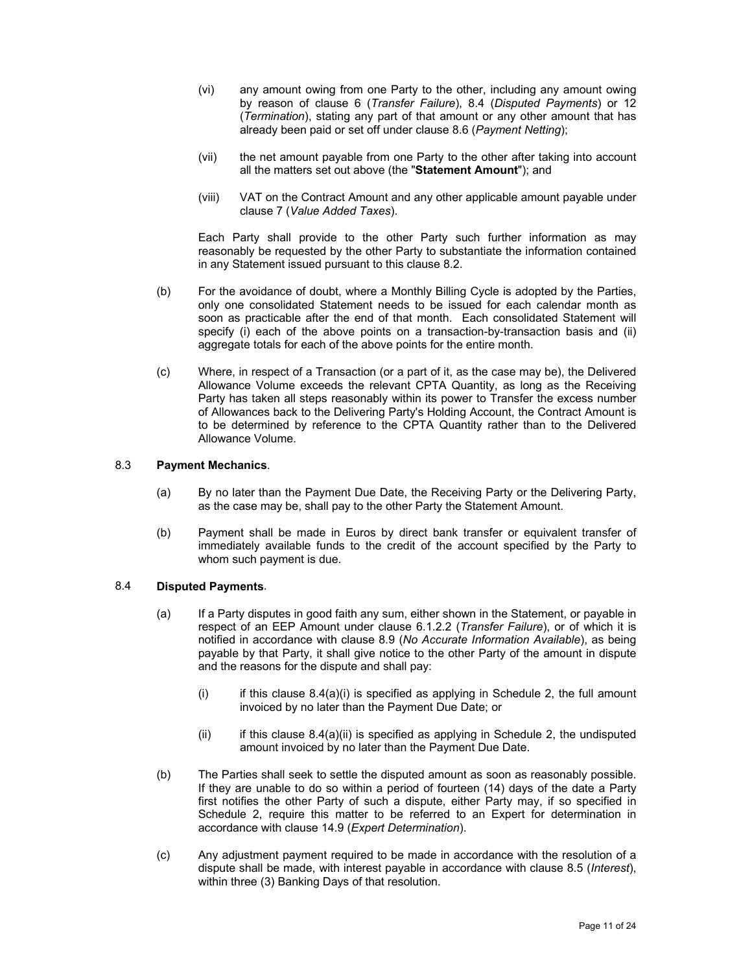- (vi) any amount owing from one Party to the other, including any amount owing by reason of clause 6 (Transfer Failure), 8.4 (Disputed Payments) or 12 (Termination), stating any part of that amount or any other amount that has already been paid or set off under clause 8.6 (Payment Netting);
- (vii) the net amount payable from one Party to the other after taking into account all the matters set out above (the "Statement Amount"); and
- (viii) VAT on the Contract Amount and any other applicable amount payable under clause 7 (Value Added Taxes).

Each Party shall provide to the other Party such further information as may reasonably be requested by the other Party to substantiate the information contained in any Statement issued pursuant to this clause 8.2.

- (b) For the avoidance of doubt, where a Monthly Billing Cycle is adopted by the Parties, only one consolidated Statement needs to be issued for each calendar month as soon as practicable after the end of that month. Each consolidated Statement will specify (i) each of the above points on a transaction-by-transaction basis and (ii) aggregate totals for each of the above points for the entire month.
- (c) Where, in respect of a Transaction (or a part of it, as the case may be), the Delivered Allowance Volume exceeds the relevant CPTA Quantity, as long as the Receiving Party has taken all steps reasonably within its power to Transfer the excess number of Allowances back to the Delivering Party's Holding Account, the Contract Amount is to be determined by reference to the CPTA Quantity rather than to the Delivered Allowance Volume.

### 8.3 Payment Mechanics.

- (a) By no later than the Payment Due Date, the Receiving Party or the Delivering Party, as the case may be, shall pay to the other Party the Statement Amount.
- (b) Payment shall be made in Euros by direct bank transfer or equivalent transfer of immediately available funds to the credit of the account specified by the Party to whom such payment is due.

### 8.4 Disputed Payments.

- (a) If a Party disputes in good faith any sum, either shown in the Statement, or payable in respect of an EEP Amount under clause 6.1.2.2 (Transfer Failure), or of which it is notified in accordance with clause 8.9 (No Accurate Information Available), as being payable by that Party, it shall give notice to the other Party of the amount in dispute and the reasons for the dispute and shall pay:
	- (i) if this clause  $8.4(a)(i)$  is specified as applying in Schedule 2, the full amount invoiced by no later than the Payment Due Date; or
	- $(i)$  if this clause  $8.4(a)(ii)$  is specified as applying in Schedule 2, the undisputed amount invoiced by no later than the Payment Due Date.
- (b) The Parties shall seek to settle the disputed amount as soon as reasonably possible. If they are unable to do so within a period of fourteen (14) days of the date a Party first notifies the other Party of such a dispute, either Party may, if so specified in Schedule 2, require this matter to be referred to an Expert for determination in accordance with clause 14.9 (Expert Determination).
- (c) Any adjustment payment required to be made in accordance with the resolution of a dispute shall be made, with interest payable in accordance with clause 8.5 (Interest), within three (3) Banking Days of that resolution.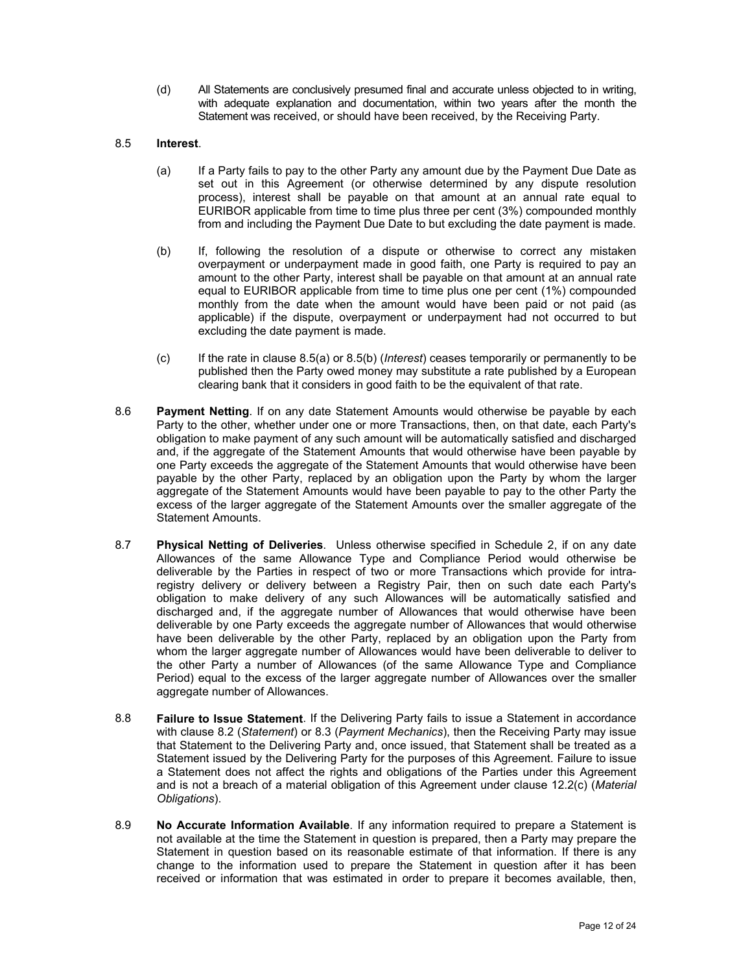(d) All Statements are conclusively presumed final and accurate unless objected to in writing, with adequate explanation and documentation, within two years after the month the Statement was received, or should have been received, by the Receiving Party.

## 8.5 Interest.

- (a) If a Party fails to pay to the other Party any amount due by the Payment Due Date as set out in this Agreement (or otherwise determined by any dispute resolution process), interest shall be payable on that amount at an annual rate equal to EURIBOR applicable from time to time plus three per cent (3%) compounded monthly from and including the Payment Due Date to but excluding the date payment is made.
- (b) If, following the resolution of a dispute or otherwise to correct any mistaken overpayment or underpayment made in good faith, one Party is required to pay an amount to the other Party, interest shall be payable on that amount at an annual rate equal to EURIBOR applicable from time to time plus one per cent (1%) compounded monthly from the date when the amount would have been paid or not paid (as applicable) if the dispute, overpayment or underpayment had not occurred to but excluding the date payment is made.
- (c) If the rate in clause 8.5(a) or 8.5(b) (Interest) ceases temporarily or permanently to be published then the Party owed money may substitute a rate published by a European clearing bank that it considers in good faith to be the equivalent of that rate.
- 8.6 Payment Netting. If on any date Statement Amounts would otherwise be payable by each Party to the other, whether under one or more Transactions, then, on that date, each Party's obligation to make payment of any such amount will be automatically satisfied and discharged and, if the aggregate of the Statement Amounts that would otherwise have been payable by one Party exceeds the aggregate of the Statement Amounts that would otherwise have been payable by the other Party, replaced by an obligation upon the Party by whom the larger aggregate of the Statement Amounts would have been payable to pay to the other Party the excess of the larger aggregate of the Statement Amounts over the smaller aggregate of the Statement Amounts.
- 8.7 Physical Netting of Deliveries. Unless otherwise specified in Schedule 2, if on any date Allowances of the same Allowance Type and Compliance Period would otherwise be deliverable by the Parties in respect of two or more Transactions which provide for intraregistry delivery or delivery between a Registry Pair, then on such date each Party's obligation to make delivery of any such Allowances will be automatically satisfied and discharged and, if the aggregate number of Allowances that would otherwise have been deliverable by one Party exceeds the aggregate number of Allowances that would otherwise have been deliverable by the other Party, replaced by an obligation upon the Party from whom the larger aggregate number of Allowances would have been deliverable to deliver to the other Party a number of Allowances (of the same Allowance Type and Compliance Period) equal to the excess of the larger aggregate number of Allowances over the smaller aggregate number of Allowances.
- 8.8 Failure to Issue Statement. If the Delivering Party fails to issue a Statement in accordance with clause 8.2 (Statement) or 8.3 (Payment Mechanics), then the Receiving Party may issue that Statement to the Delivering Party and, once issued, that Statement shall be treated as a Statement issued by the Delivering Party for the purposes of this Agreement. Failure to issue a Statement does not affect the rights and obligations of the Parties under this Agreement and is not a breach of a material obligation of this Agreement under clause 12.2(c) (Material Obligations).
- 8.9 No Accurate Information Available. If any information required to prepare a Statement is not available at the time the Statement in question is prepared, then a Party may prepare the Statement in question based on its reasonable estimate of that information. If there is any change to the information used to prepare the Statement in question after it has been received or information that was estimated in order to prepare it becomes available, then,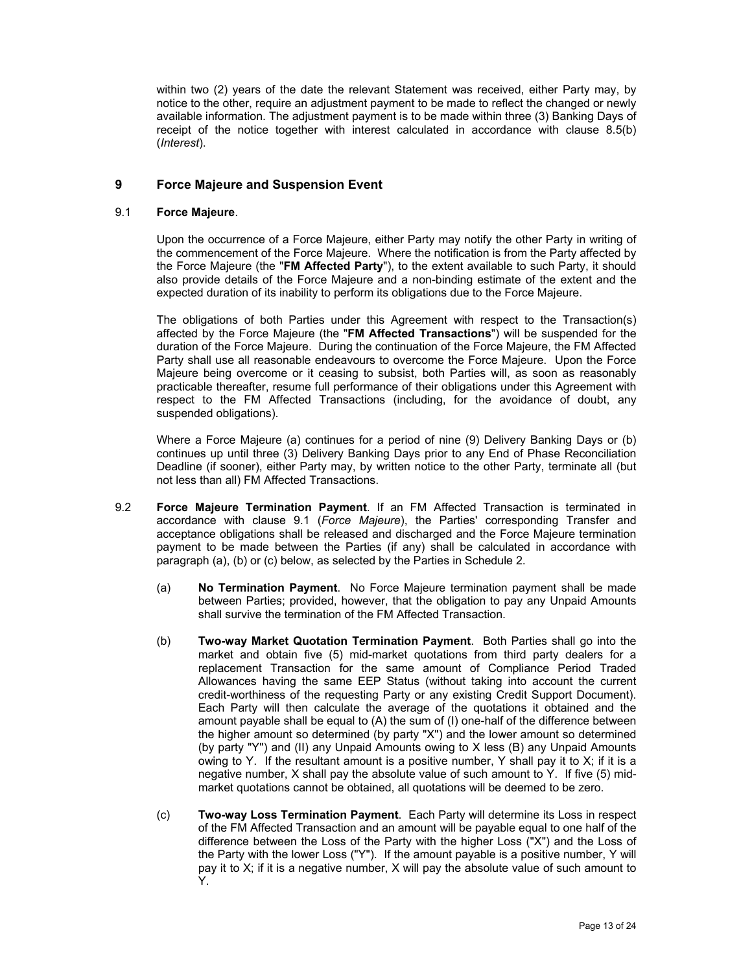within two (2) years of the date the relevant Statement was received, either Party may, by notice to the other, require an adjustment payment to be made to reflect the changed or newly available information. The adjustment payment is to be made within three (3) Banking Days of receipt of the notice together with interest calculated in accordance with clause 8.5(b) (Interest).

# 9 Force Majeure and Suspension Event

### 9.1 Force Majeure.

Upon the occurrence of a Force Majeure, either Party may notify the other Party in writing of the commencement of the Force Majeure. Where the notification is from the Party affected by the Force Majeure (the "FM Affected Party"), to the extent available to such Party, it should also provide details of the Force Majeure and a non-binding estimate of the extent and the expected duration of its inability to perform its obligations due to the Force Majeure.

The obligations of both Parties under this Agreement with respect to the Transaction(s) affected by the Force Majeure (the "FM Affected Transactions") will be suspended for the duration of the Force Majeure. During the continuation of the Force Majeure, the FM Affected Party shall use all reasonable endeavours to overcome the Force Majeure. Upon the Force Majeure being overcome or it ceasing to subsist, both Parties will, as soon as reasonably practicable thereafter, resume full performance of their obligations under this Agreement with respect to the FM Affected Transactions (including, for the avoidance of doubt, any suspended obligations).

Where a Force Majeure (a) continues for a period of nine (9) Delivery Banking Days or (b) continues up until three (3) Delivery Banking Days prior to any End of Phase Reconciliation Deadline (if sooner), either Party may, by written notice to the other Party, terminate all (but not less than all) FM Affected Transactions.

- 9.2 Force Majeure Termination Payment. If an FM Affected Transaction is terminated in accordance with clause 9.1 (Force Majeure), the Parties' corresponding Transfer and acceptance obligations shall be released and discharged and the Force Majeure termination payment to be made between the Parties (if any) shall be calculated in accordance with paragraph (a), (b) or (c) below, as selected by the Parties in Schedule 2.
	- (a) No Termination Payment. No Force Majeure termination payment shall be made between Parties; provided, however, that the obligation to pay any Unpaid Amounts shall survive the termination of the FM Affected Transaction.
	- (b) Two-way Market Quotation Termination Payment. Both Parties shall go into the market and obtain five (5) mid-market quotations from third party dealers for a replacement Transaction for the same amount of Compliance Period Traded Allowances having the same EEP Status (without taking into account the current credit-worthiness of the requesting Party or any existing Credit Support Document). Each Party will then calculate the average of the quotations it obtained and the amount payable shall be equal to (A) the sum of (I) one-half of the difference between the higher amount so determined (by party "X") and the lower amount so determined (by party "Y") and (II) any Unpaid Amounts owing to X less (B) any Unpaid Amounts owing to Y. If the resultant amount is a positive number, Y shall pay it to X; if it is a negative number, X shall pay the absolute value of such amount to Y. If five (5) midmarket quotations cannot be obtained, all quotations will be deemed to be zero.
	- (c) Two-way Loss Termination Payment. Each Party will determine its Loss in respect of the FM Affected Transaction and an amount will be payable equal to one half of the difference between the Loss of the Party with the higher Loss ("X") and the Loss of the Party with the lower Loss ("Y"). If the amount payable is a positive number, Y will pay it to X; if it is a negative number, X will pay the absolute value of such amount to Y.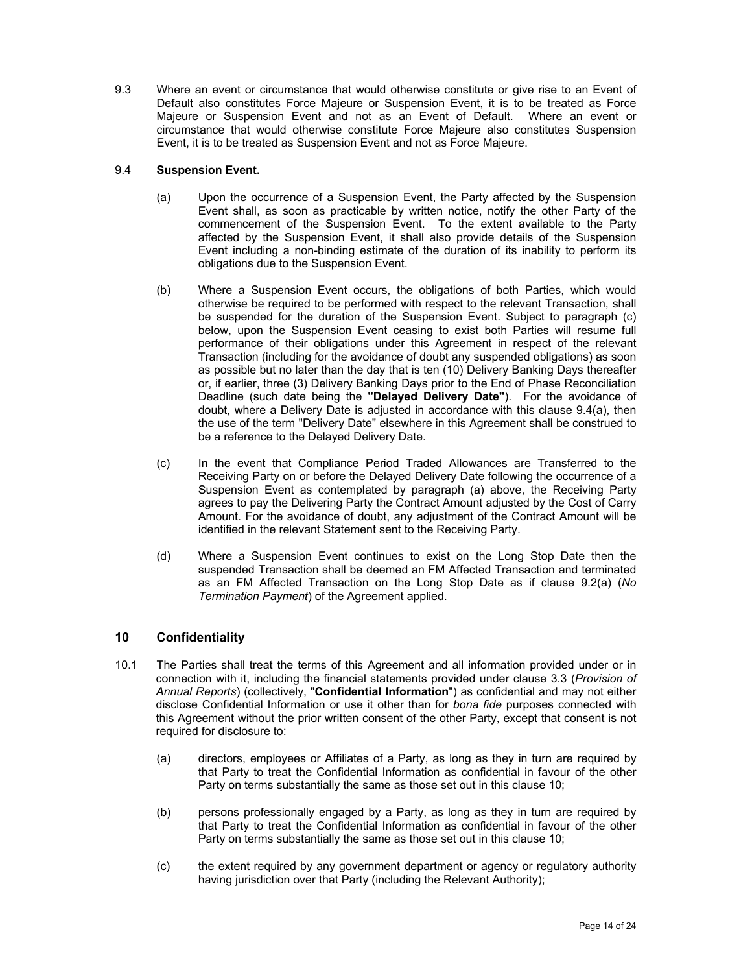9.3 Where an event or circumstance that would otherwise constitute or give rise to an Event of Default also constitutes Force Majeure or Suspension Event, it is to be treated as Force Majeure or Suspension Event and not as an Event of Default. Where an event or circumstance that would otherwise constitute Force Majeure also constitutes Suspension Event, it is to be treated as Suspension Event and not as Force Majeure.

## 9.4 Suspension Event.

- (a) Upon the occurrence of a Suspension Event, the Party affected by the Suspension Event shall, as soon as practicable by written notice, notify the other Party of the commencement of the Suspension Event. To the extent available to the Party affected by the Suspension Event, it shall also provide details of the Suspension Event including a non-binding estimate of the duration of its inability to perform its obligations due to the Suspension Event.
- (b) Where a Suspension Event occurs, the obligations of both Parties, which would otherwise be required to be performed with respect to the relevant Transaction, shall be suspended for the duration of the Suspension Event. Subject to paragraph (c) below, upon the Suspension Event ceasing to exist both Parties will resume full performance of their obligations under this Agreement in respect of the relevant Transaction (including for the avoidance of doubt any suspended obligations) as soon as possible but no later than the day that is ten (10) Delivery Banking Days thereafter or, if earlier, three (3) Delivery Banking Days prior to the End of Phase Reconciliation Deadline (such date being the "Delayed Delivery Date"). For the avoidance of doubt, where a Delivery Date is adjusted in accordance with this clause 9.4(a), then the use of the term "Delivery Date" elsewhere in this Agreement shall be construed to be a reference to the Delayed Delivery Date.
- (c) In the event that Compliance Period Traded Allowances are Transferred to the Receiving Party on or before the Delayed Delivery Date following the occurrence of a Suspension Event as contemplated by paragraph (a) above, the Receiving Party agrees to pay the Delivering Party the Contract Amount adjusted by the Cost of Carry Amount. For the avoidance of doubt, any adjustment of the Contract Amount will be identified in the relevant Statement sent to the Receiving Party.
- (d) Where a Suspension Event continues to exist on the Long Stop Date then the suspended Transaction shall be deemed an FM Affected Transaction and terminated as an FM Affected Transaction on the Long Stop Date as if clause 9.2(a) (No Termination Payment) of the Agreement applied.

# 10 Confidentiality

- 10.1 The Parties shall treat the terms of this Agreement and all information provided under or in connection with it, including the financial statements provided under clause 3.3 (Provision of Annual Reports) (collectively, "Confidential Information") as confidential and may not either disclose Confidential Information or use it other than for bona fide purposes connected with this Agreement without the prior written consent of the other Party, except that consent is not required for disclosure to:
	- (a) directors, employees or Affiliates of a Party, as long as they in turn are required by that Party to treat the Confidential Information as confidential in favour of the other Party on terms substantially the same as those set out in this clause 10;
	- (b) persons professionally engaged by a Party, as long as they in turn are required by that Party to treat the Confidential Information as confidential in favour of the other Party on terms substantially the same as those set out in this clause 10;
	- (c) the extent required by any government department or agency or regulatory authority having jurisdiction over that Party (including the Relevant Authority);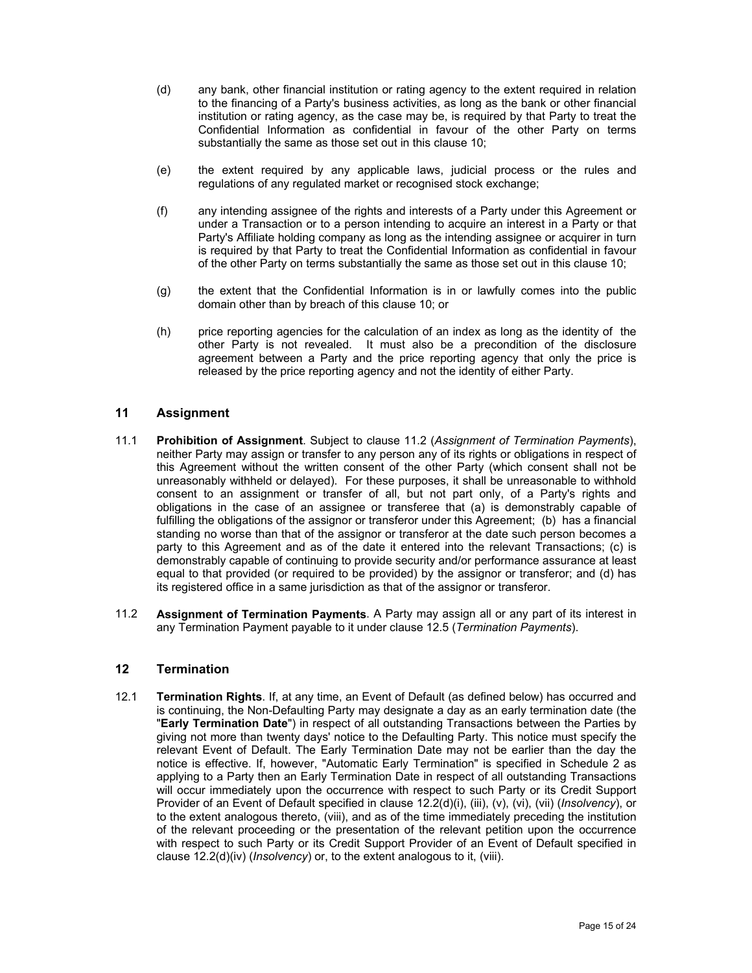- (d) any bank, other financial institution or rating agency to the extent required in relation to the financing of a Party's business activities, as long as the bank or other financial institution or rating agency, as the case may be, is required by that Party to treat the Confidential Information as confidential in favour of the other Party on terms substantially the same as those set out in this clause 10;
- (e) the extent required by any applicable laws, judicial process or the rules and regulations of any regulated market or recognised stock exchange;
- (f) any intending assignee of the rights and interests of a Party under this Agreement or under a Transaction or to a person intending to acquire an interest in a Party or that Party's Affiliate holding company as long as the intending assignee or acquirer in turn is required by that Party to treat the Confidential Information as confidential in favour of the other Party on terms substantially the same as those set out in this clause 10;
- (g) the extent that the Confidential Information is in or lawfully comes into the public domain other than by breach of this clause 10; or
- (h) price reporting agencies for the calculation of an index as long as the identity of the other Party is not revealed. It must also be a precondition of the disclosure agreement between a Party and the price reporting agency that only the price is released by the price reporting agency and not the identity of either Party.

# 11 Assignment

- 11.1 Prohibition of Assignment. Subject to clause 11.2 (Assignment of Termination Payments), neither Party may assign or transfer to any person any of its rights or obligations in respect of this Agreement without the written consent of the other Party (which consent shall not be unreasonably withheld or delayed). For these purposes, it shall be unreasonable to withhold consent to an assignment or transfer of all, but not part only, of a Party's rights and obligations in the case of an assignee or transferee that (a) is demonstrably capable of fulfilling the obligations of the assignor or transferor under this Agreement; (b) has a financial standing no worse than that of the assignor or transferor at the date such person becomes a party to this Agreement and as of the date it entered into the relevant Transactions; (c) is demonstrably capable of continuing to provide security and/or performance assurance at least equal to that provided (or required to be provided) by the assignor or transferor; and (d) has its registered office in a same jurisdiction as that of the assignor or transferor.
- 11.2 Assignment of Termination Payments. A Party may assign all or any part of its interest in any Termination Payment payable to it under clause 12.5 (Termination Payments).

# 12 Termination

12.1 **Termination Rights**. If, at any time, an Event of Default (as defined below) has occurred and is continuing, the Non-Defaulting Party may designate a day as an early termination date (the "Early Termination Date") in respect of all outstanding Transactions between the Parties by giving not more than twenty days' notice to the Defaulting Party. This notice must specify the relevant Event of Default. The Early Termination Date may not be earlier than the day the notice is effective. If, however, "Automatic Early Termination" is specified in Schedule 2 as applying to a Party then an Early Termination Date in respect of all outstanding Transactions will occur immediately upon the occurrence with respect to such Party or its Credit Support Provider of an Event of Default specified in clause 12.2(d)(i), (iii), (v), (vi), (vii) (Insolvency), or to the extent analogous thereto, (viii), and as of the time immediately preceding the institution of the relevant proceeding or the presentation of the relevant petition upon the occurrence with respect to such Party or its Credit Support Provider of an Event of Default specified in clause 12.2(d)(iv) (Insolvency) or, to the extent analogous to it, (viii).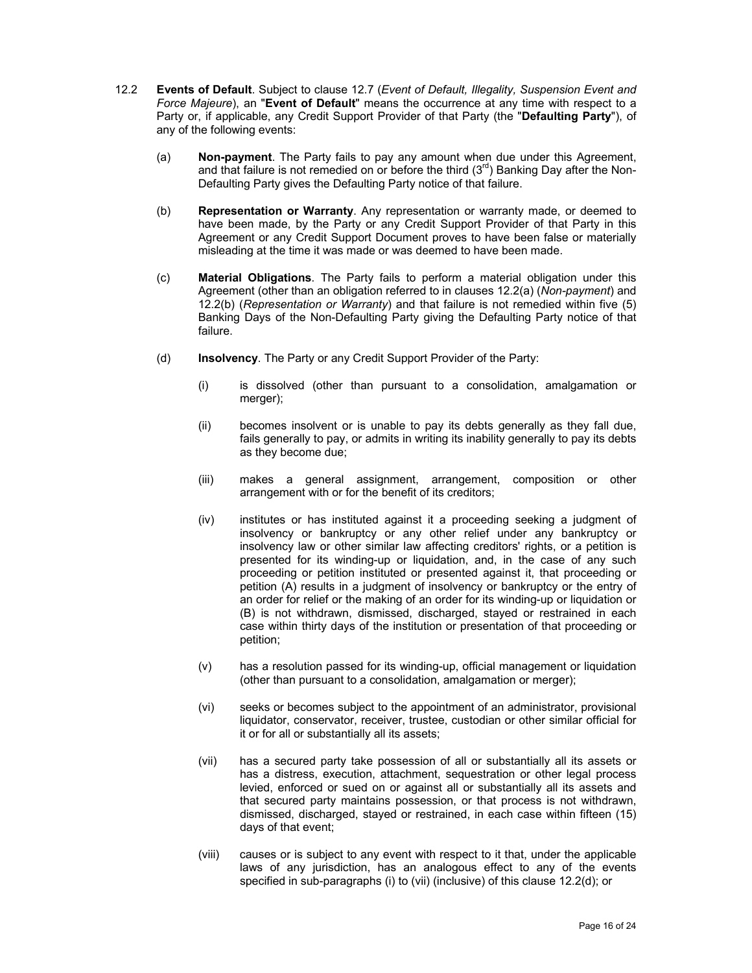- 12.2 Events of Default. Subject to clause 12.7 (Event of Default, Illegality, Suspension Event and Force Majeure), an "Event of Default" means the occurrence at any time with respect to a Party or, if applicable, any Credit Support Provider of that Party (the "Defaulting Party"), of any of the following events:
	- (a) Non-payment. The Party fails to pay any amount when due under this Agreement, and that failure is not remedied on or before the third  $(3<sup>rd</sup>)$  Banking Day after the Non-Defaulting Party gives the Defaulting Party notice of that failure.
	- (b) Representation or Warranty. Any representation or warranty made, or deemed to have been made, by the Party or any Credit Support Provider of that Party in this Agreement or any Credit Support Document proves to have been false or materially misleading at the time it was made or was deemed to have been made.
	- (c) Material Obligations. The Party fails to perform a material obligation under this Agreement (other than an obligation referred to in clauses 12.2(a) (Non-payment) and 12.2(b) (Representation or Warranty) and that failure is not remedied within five (5) Banking Days of the Non-Defaulting Party giving the Defaulting Party notice of that failure.
	- (d) Insolvency. The Party or any Credit Support Provider of the Party:
		- (i) is dissolved (other than pursuant to a consolidation, amalgamation or merger);
		- (ii) becomes insolvent or is unable to pay its debts generally as they fall due, fails generally to pay, or admits in writing its inability generally to pay its debts as they become due;
		- (iii) makes a general assignment, arrangement, composition or other arrangement with or for the benefit of its creditors;
		- (iv) institutes or has instituted against it a proceeding seeking a judgment of insolvency or bankruptcy or any other relief under any bankruptcy or insolvency law or other similar law affecting creditors' rights, or a petition is presented for its winding-up or liquidation, and, in the case of any such proceeding or petition instituted or presented against it, that proceeding or petition (A) results in a judgment of insolvency or bankruptcy or the entry of an order for relief or the making of an order for its winding-up or liquidation or (B) is not withdrawn, dismissed, discharged, stayed or restrained in each case within thirty days of the institution or presentation of that proceeding or petition;
		- (v) has a resolution passed for its winding-up, official management or liquidation (other than pursuant to a consolidation, amalgamation or merger);
		- (vi) seeks or becomes subject to the appointment of an administrator, provisional liquidator, conservator, receiver, trustee, custodian or other similar official for it or for all or substantially all its assets;
		- (vii) has a secured party take possession of all or substantially all its assets or has a distress, execution, attachment, sequestration or other legal process levied, enforced or sued on or against all or substantially all its assets and that secured party maintains possession, or that process is not withdrawn, dismissed, discharged, stayed or restrained, in each case within fifteen (15) days of that event;
		- (viii) causes or is subject to any event with respect to it that, under the applicable laws of any jurisdiction, has an analogous effect to any of the events specified in sub-paragraphs (i) to (vii) (inclusive) of this clause 12.2(d); or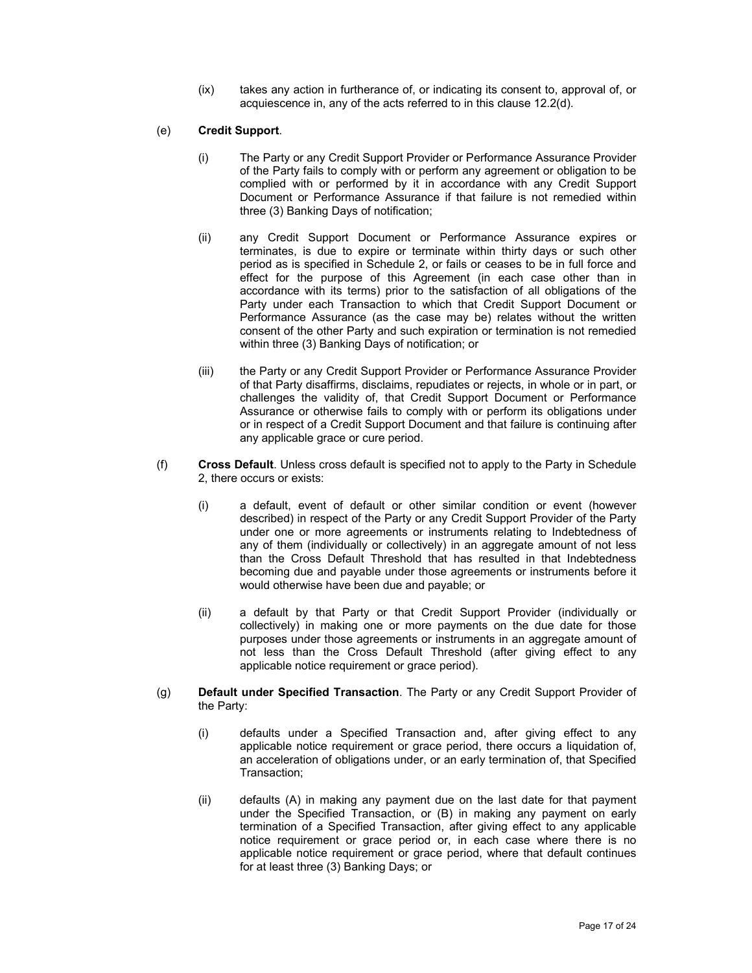(ix) takes any action in furtherance of, or indicating its consent to, approval of, or acquiescence in, any of the acts referred to in this clause 12.2(d).

### (e) Credit Support.

- (i) The Party or any Credit Support Provider or Performance Assurance Provider of the Party fails to comply with or perform any agreement or obligation to be complied with or performed by it in accordance with any Credit Support Document or Performance Assurance if that failure is not remedied within three (3) Banking Days of notification;
- (ii) any Credit Support Document or Performance Assurance expires or terminates, is due to expire or terminate within thirty days or such other period as is specified in Schedule 2, or fails or ceases to be in full force and effect for the purpose of this Agreement (in each case other than in accordance with its terms) prior to the satisfaction of all obligations of the Party under each Transaction to which that Credit Support Document or Performance Assurance (as the case may be) relates without the written consent of the other Party and such expiration or termination is not remedied within three (3) Banking Days of notification; or
- (iii) the Party or any Credit Support Provider or Performance Assurance Provider of that Party disaffirms, disclaims, repudiates or rejects, in whole or in part, or challenges the validity of, that Credit Support Document or Performance Assurance or otherwise fails to comply with or perform its obligations under or in respect of a Credit Support Document and that failure is continuing after any applicable grace or cure period.
- (f) Cross Default. Unless cross default is specified not to apply to the Party in Schedule 2, there occurs or exists:
	- (i) a default, event of default or other similar condition or event (however described) in respect of the Party or any Credit Support Provider of the Party under one or more agreements or instruments relating to Indebtedness of any of them (individually or collectively) in an aggregate amount of not less than the Cross Default Threshold that has resulted in that Indebtedness becoming due and payable under those agreements or instruments before it would otherwise have been due and payable; or
	- (ii) a default by that Party or that Credit Support Provider (individually or collectively) in making one or more payments on the due date for those purposes under those agreements or instruments in an aggregate amount of not less than the Cross Default Threshold (after giving effect to any applicable notice requirement or grace period).
- (g) Default under Specified Transaction. The Party or any Credit Support Provider of the Party:
	- (i) defaults under a Specified Transaction and, after giving effect to any applicable notice requirement or grace period, there occurs a liquidation of, an acceleration of obligations under, or an early termination of, that Specified Transaction;
	- (ii) defaults (A) in making any payment due on the last date for that payment under the Specified Transaction, or (B) in making any payment on early termination of a Specified Transaction, after giving effect to any applicable notice requirement or grace period or, in each case where there is no applicable notice requirement or grace period, where that default continues for at least three (3) Banking Days; or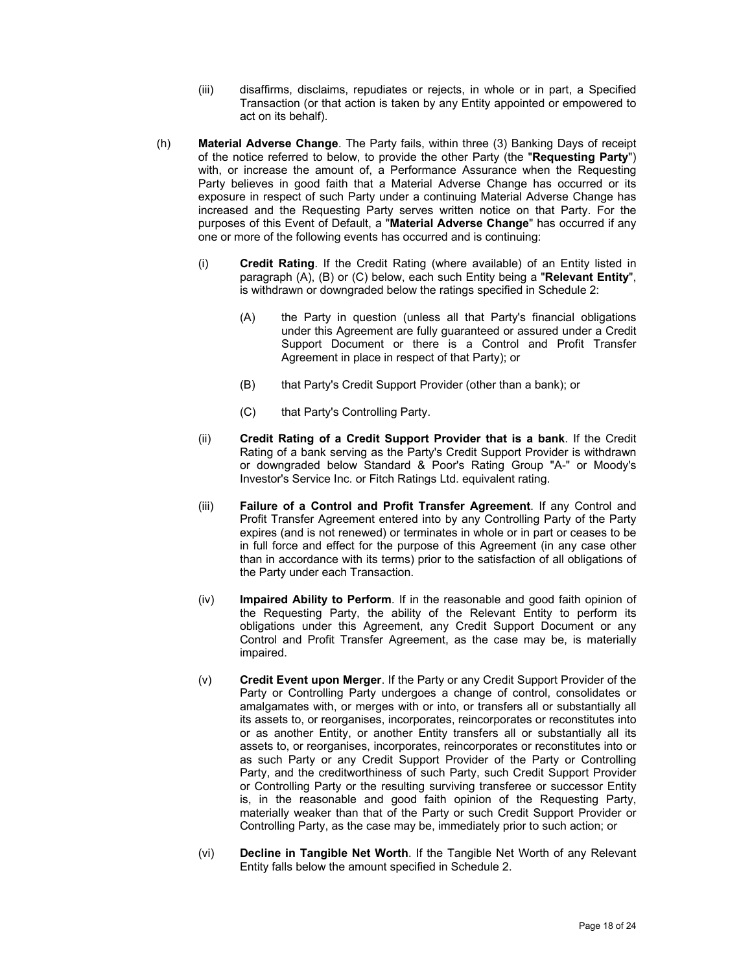- (iii) disaffirms, disclaims, repudiates or rejects, in whole or in part, a Specified Transaction (or that action is taken by any Entity appointed or empowered to act on its behalf).
- (h) Material Adverse Change. The Party fails, within three (3) Banking Days of receipt of the notice referred to below, to provide the other Party (the "Requesting Party") with, or increase the amount of, a Performance Assurance when the Requesting Party believes in good faith that a Material Adverse Change has occurred or its exposure in respect of such Party under a continuing Material Adverse Change has increased and the Requesting Party serves written notice on that Party. For the purposes of this Event of Default, a "Material Adverse Change" has occurred if any one or more of the following events has occurred and is continuing:
	- (i) Credit Rating. If the Credit Rating (where available) of an Entity listed in paragraph (A), (B) or (C) below, each such Entity being a "Relevant Entity", is withdrawn or downgraded below the ratings specified in Schedule 2:
		- (A) the Party in question (unless all that Party's financial obligations under this Agreement are fully guaranteed or assured under a Credit Support Document or there is a Control and Profit Transfer Agreement in place in respect of that Party); or
		- (B) that Party's Credit Support Provider (other than a bank); or
		- (C) that Party's Controlling Party.
	- (ii) Credit Rating of a Credit Support Provider that is a bank. If the Credit Rating of a bank serving as the Party's Credit Support Provider is withdrawn or downgraded below Standard & Poor's Rating Group "A-" or Moody's Investor's Service Inc. or Fitch Ratings Ltd. equivalent rating.
	- (iii) Failure of a Control and Profit Transfer Agreement. If any Control and Profit Transfer Agreement entered into by any Controlling Party of the Party expires (and is not renewed) or terminates in whole or in part or ceases to be in full force and effect for the purpose of this Agreement (in any case other than in accordance with its terms) prior to the satisfaction of all obligations of the Party under each Transaction.
	- (iv) Impaired Ability to Perform. If in the reasonable and good faith opinion of the Requesting Party, the ability of the Relevant Entity to perform its obligations under this Agreement, any Credit Support Document or any Control and Profit Transfer Agreement, as the case may be, is materially impaired.
	- $(v)$  Credit Event upon Merger. If the Party or any Credit Support Provider of the Party or Controlling Party undergoes a change of control, consolidates or amalgamates with, or merges with or into, or transfers all or substantially all its assets to, or reorganises, incorporates, reincorporates or reconstitutes into or as another Entity, or another Entity transfers all or substantially all its assets to, or reorganises, incorporates, reincorporates or reconstitutes into or as such Party or any Credit Support Provider of the Party or Controlling Party, and the creditworthiness of such Party, such Credit Support Provider or Controlling Party or the resulting surviving transferee or successor Entity is, in the reasonable and good faith opinion of the Requesting Party, materially weaker than that of the Party or such Credit Support Provider or Controlling Party, as the case may be, immediately prior to such action; or
	- (vi) Decline in Tangible Net Worth. If the Tangible Net Worth of any Relevant Entity falls below the amount specified in Schedule 2.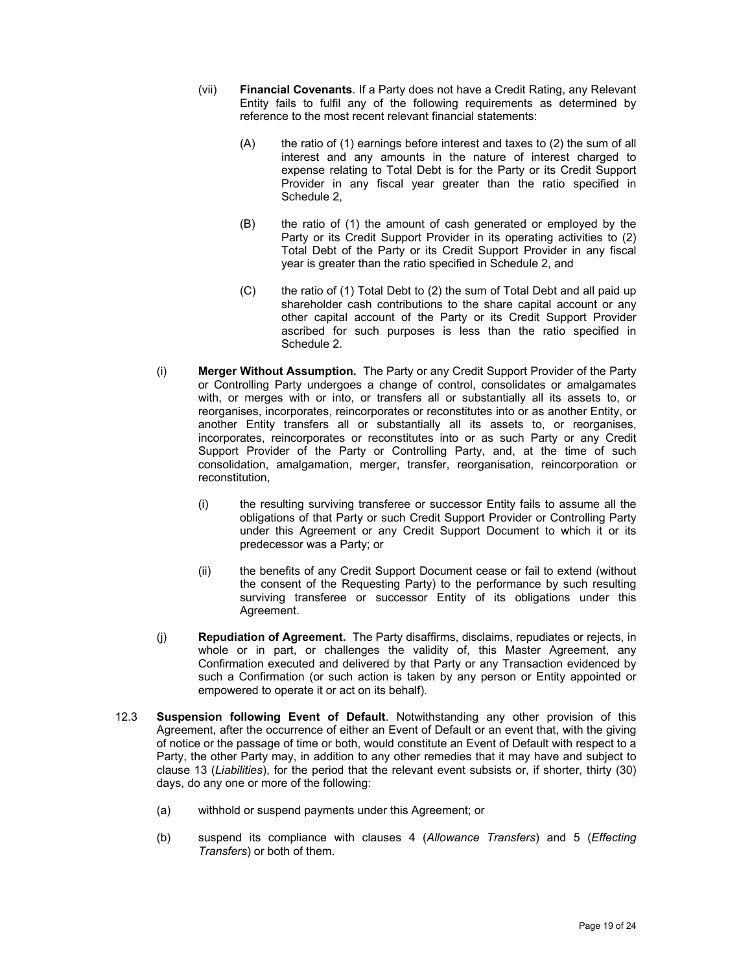- (vii) Financial Covenants. If a Party does not have a Credit Rating, any Relevant Entity fails to fulfil any of the following requirements as determined by reference to the most recent relevant financial statements:
	- (A) the ratio of (1) earnings before interest and taxes to (2) the sum of all interest and any amounts in the nature of interest charged to expense relating to Total Debt is for the Party or its Credit Support Provider in any fiscal year greater than the ratio specified in Schedule 2,
	- (B) the ratio of (1) the amount of cash generated or employed by the Party or its Credit Support Provider in its operating activities to (2) Total Debt of the Party or its Credit Support Provider in any fiscal year is greater than the ratio specified in Schedule 2, and
	- (C) the ratio of (1) Total Debt to (2) the sum of Total Debt and all paid up shareholder cash contributions to the share capital account or any other capital account of the Party or its Credit Support Provider ascribed for such purposes is less than the ratio specified in Schedule 2.
- (i) Merger Without Assumption. The Party or any Credit Support Provider of the Party or Controlling Party undergoes a change of control, consolidates or amalgamates with, or merges with or into, or transfers all or substantially all its assets to, or reorganises, incorporates, reincorporates or reconstitutes into or as another Entity, or another Entity transfers all or substantially all its assets to, or reorganises, incorporates, reincorporates or reconstitutes into or as such Party or any Credit Support Provider of the Party or Controlling Party, and, at the time of such consolidation, amalgamation, merger, transfer, reorganisation, reincorporation or reconstitution,
	- (i) the resulting surviving transferee or successor Entity fails to assume all the obligations of that Party or such Credit Support Provider or Controlling Party under this Agreement or any Credit Support Document to which it or its predecessor was a Party; or
	- (ii) the benefits of any Credit Support Document cease or fail to extend (without the consent of the Requesting Party) to the performance by such resulting surviving transferee or successor Entity of its obligations under this Agreement.
- (j) Repudiation of Agreement. The Party disaffirms, disclaims, repudiates or rejects, in whole or in part, or challenges the validity of, this Master Agreement, any Confirmation executed and delivered by that Party or any Transaction evidenced by such a Confirmation (or such action is taken by any person or Entity appointed or empowered to operate it or act on its behalf).
- 12.3 Suspension following Event of Default. Notwithstanding any other provision of this Agreement, after the occurrence of either an Event of Default or an event that, with the giving of notice or the passage of time or both, would constitute an Event of Default with respect to a Party, the other Party may, in addition to any other remedies that it may have and subject to clause 13 (Liabilities), for the period that the relevant event subsists or, if shorter, thirty (30) days, do any one or more of the following:
	- (a) withhold or suspend payments under this Agreement; or
	- (b) suspend its compliance with clauses 4 (Allowance Transfers) and 5 (Effecting Transfers) or both of them.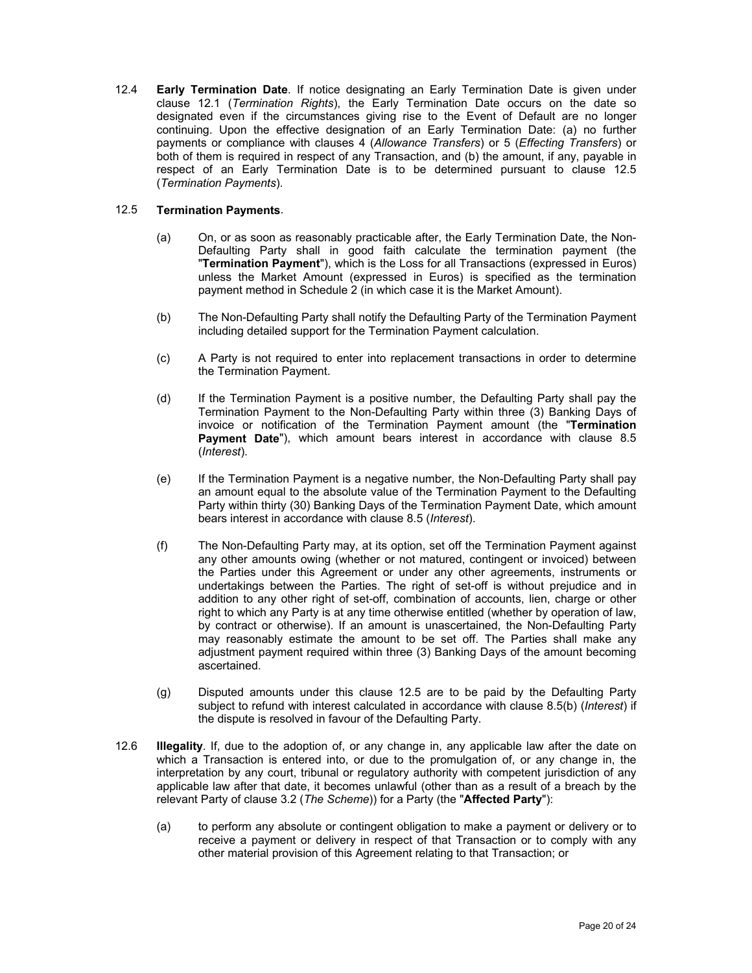12.4 **Early Termination Date**. If notice designating an Early Termination Date is given under clause 12.1 (Termination Rights), the Early Termination Date occurs on the date so designated even if the circumstances giving rise to the Event of Default are no longer continuing. Upon the effective designation of an Early Termination Date: (a) no further payments or compliance with clauses 4 (Allowance Transfers) or 5 (Effecting Transfers) or both of them is required in respect of any Transaction, and (b) the amount, if any, payable in respect of an Early Termination Date is to be determined pursuant to clause 12.5 (Termination Payments).

## 12.5 Termination Payments.

- (a) On, or as soon as reasonably practicable after, the Early Termination Date, the Non-Defaulting Party shall in good faith calculate the termination payment (the "Termination Payment"), which is the Loss for all Transactions (expressed in Euros) unless the Market Amount (expressed in Euros) is specified as the termination payment method in Schedule 2 (in which case it is the Market Amount).
- (b) The Non-Defaulting Party shall notify the Defaulting Party of the Termination Payment including detailed support for the Termination Payment calculation.
- (c) A Party is not required to enter into replacement transactions in order to determine the Termination Payment.
- (d) If the Termination Payment is a positive number, the Defaulting Party shall pay the Termination Payment to the Non-Defaulting Party within three (3) Banking Days of invoice or notification of the Termination Payment amount (the "Termination Payment Date"), which amount bears interest in accordance with clause 8.5 (Interest).
- (e) If the Termination Payment is a negative number, the Non-Defaulting Party shall pay an amount equal to the absolute value of the Termination Payment to the Defaulting Party within thirty (30) Banking Days of the Termination Payment Date, which amount bears interest in accordance with clause 8.5 (Interest).
- (f) The Non-Defaulting Party may, at its option, set off the Termination Payment against any other amounts owing (whether or not matured, contingent or invoiced) between the Parties under this Agreement or under any other agreements, instruments or undertakings between the Parties. The right of set-off is without prejudice and in addition to any other right of set-off, combination of accounts, lien, charge or other right to which any Party is at any time otherwise entitled (whether by operation of law, by contract or otherwise). If an amount is unascertained, the Non-Defaulting Party may reasonably estimate the amount to be set off. The Parties shall make any adjustment payment required within three (3) Banking Days of the amount becoming ascertained.
- (g) Disputed amounts under this clause 12.5 are to be paid by the Defaulting Party subject to refund with interest calculated in accordance with clause 8.5(b) (Interest) if the dispute is resolved in favour of the Defaulting Party.
- 12.6 **Illegality**. If, due to the adoption of, or any change in, any applicable law after the date on which a Transaction is entered into, or due to the promulgation of, or any change in, the interpretation by any court, tribunal or regulatory authority with competent jurisdiction of any applicable law after that date, it becomes unlawful (other than as a result of a breach by the relevant Party of clause 3.2 (The Scheme)) for a Party (the "Affected Party"):
	- (a) to perform any absolute or contingent obligation to make a payment or delivery or to receive a payment or delivery in respect of that Transaction or to comply with any other material provision of this Agreement relating to that Transaction; or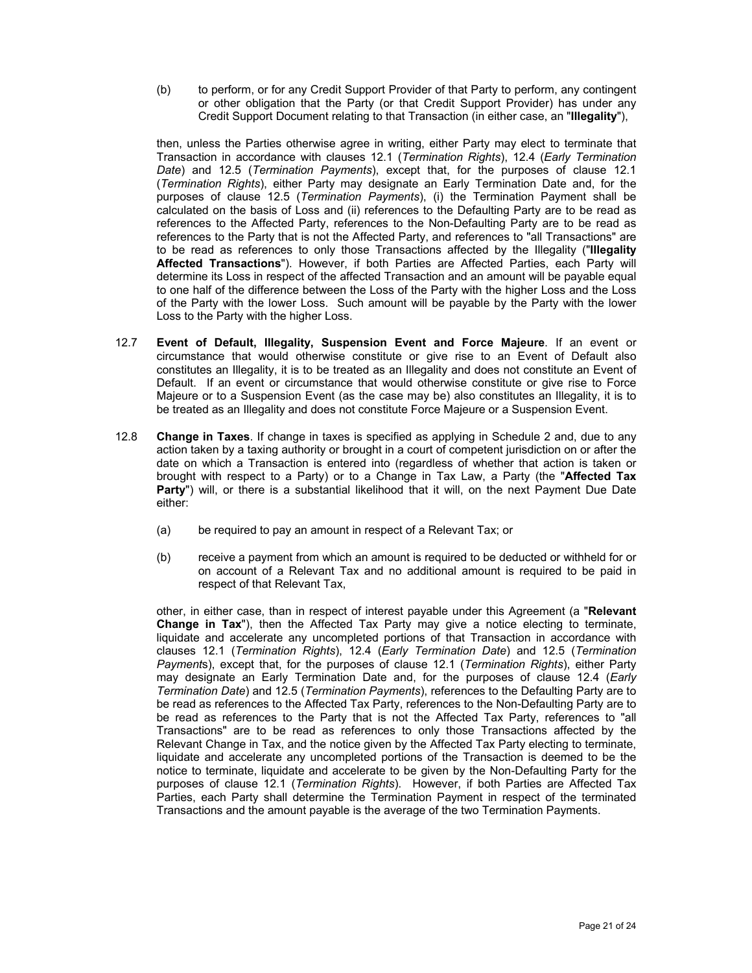(b) to perform, or for any Credit Support Provider of that Party to perform, any contingent or other obligation that the Party (or that Credit Support Provider) has under any Credit Support Document relating to that Transaction (in either case, an "Illegality"),

then, unless the Parties otherwise agree in writing, either Party may elect to terminate that Transaction in accordance with clauses 12.1 (Termination Rights), 12.4 (Early Termination Date) and 12.5 (Termination Payments), except that, for the purposes of clause 12.1 (Termination Rights), either Party may designate an Early Termination Date and, for the purposes of clause 12.5 (Termination Payments), (i) the Termination Payment shall be calculated on the basis of Loss and (ii) references to the Defaulting Party are to be read as references to the Affected Party, references to the Non-Defaulting Party are to be read as references to the Party that is not the Affected Party, and references to "all Transactions" are to be read as references to only those Transactions affected by the Illegality ("Illegality Affected Transactions"). However, if both Parties are Affected Parties, each Party will determine its Loss in respect of the affected Transaction and an amount will be payable equal to one half of the difference between the Loss of the Party with the higher Loss and the Loss of the Party with the lower Loss. Such amount will be payable by the Party with the lower Loss to the Party with the higher Loss.

- 12.7 Event of Default, Illegality, Suspension Event and Force Majeure. If an event or circumstance that would otherwise constitute or give rise to an Event of Default also constitutes an Illegality, it is to be treated as an Illegality and does not constitute an Event of Default. If an event or circumstance that would otherwise constitute or give rise to Force Majeure or to a Suspension Event (as the case may be) also constitutes an Illegality, it is to be treated as an Illegality and does not constitute Force Majeure or a Suspension Event.
- 12.8 Change in Taxes. If change in taxes is specified as applying in Schedule 2 and, due to any action taken by a taxing authority or brought in a court of competent jurisdiction on or after the date on which a Transaction is entered into (regardless of whether that action is taken or brought with respect to a Party) or to a Change in Tax Law, a Party (the "Affected Tax Party") will, or there is a substantial likelihood that it will, on the next Payment Due Date either:
	- (a) be required to pay an amount in respect of a Relevant Tax; or
	- (b) receive a payment from which an amount is required to be deducted or withheld for or on account of a Relevant Tax and no additional amount is required to be paid in respect of that Relevant Tax,

other, in either case, than in respect of interest payable under this Agreement (a "Relevant Change in Tax"), then the Affected Tax Party may give a notice electing to terminate, liquidate and accelerate any uncompleted portions of that Transaction in accordance with clauses 12.1 (Termination Rights), 12.4 (Early Termination Date) and 12.5 (Termination Payments), except that, for the purposes of clause 12.1 (Termination Rights), either Party may designate an Early Termination Date and, for the purposes of clause 12.4 (*Early* Termination Date) and 12.5 (Termination Payments), references to the Defaulting Party are to be read as references to the Affected Tax Party, references to the Non-Defaulting Party are to be read as references to the Party that is not the Affected Tax Party, references to "all Transactions" are to be read as references to only those Transactions affected by the Relevant Change in Tax, and the notice given by the Affected Tax Party electing to terminate, liquidate and accelerate any uncompleted portions of the Transaction is deemed to be the notice to terminate, liquidate and accelerate to be given by the Non-Defaulting Party for the purposes of clause 12.1 (Termination Rights). However, if both Parties are Affected Tax Parties, each Party shall determine the Termination Payment in respect of the terminated Transactions and the amount payable is the average of the two Termination Payments.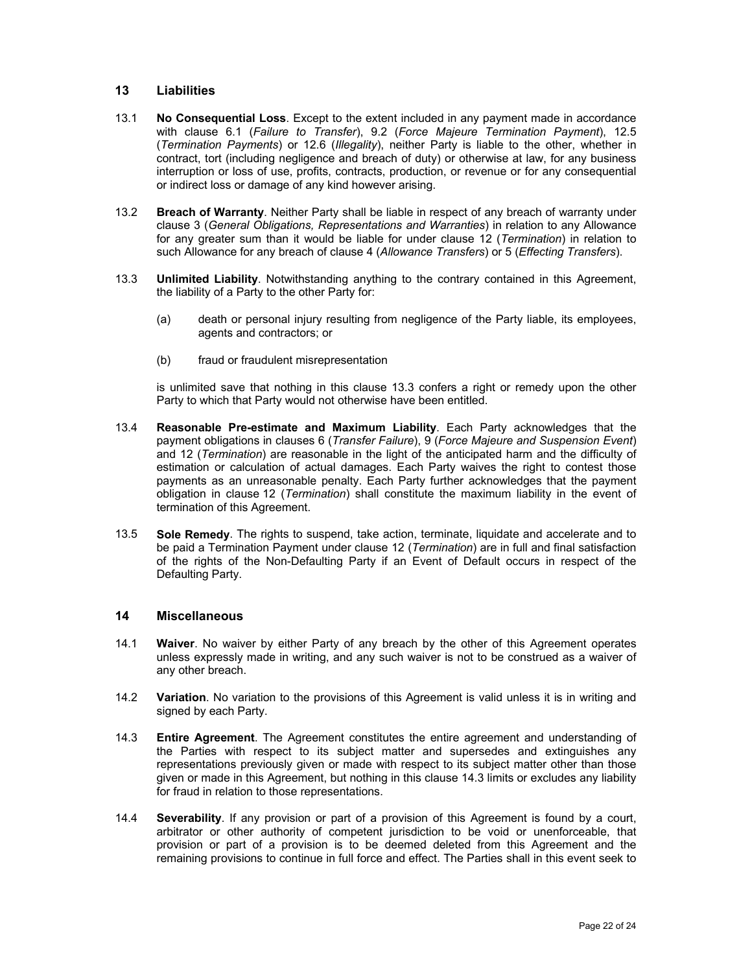# 13 Liabilities

- 13.1 No Consequential Loss. Except to the extent included in any payment made in accordance with clause 6.1 (Failure to Transfer), 9.2 (Force Majeure Termination Payment), 12.5 (Termination Payments) or 12.6 (Illegality), neither Party is liable to the other, whether in contract, tort (including negligence and breach of duty) or otherwise at law, for any business interruption or loss of use, profits, contracts, production, or revenue or for any consequential or indirect loss or damage of any kind however arising.
- 13.2 Breach of Warranty. Neither Party shall be liable in respect of any breach of warranty under clause 3 (General Obligations, Representations and Warranties) in relation to any Allowance for any greater sum than it would be liable for under clause 12 (Termination) in relation to such Allowance for any breach of clause 4 (Allowance Transfers) or 5 (Effecting Transfers).
- 13.3 **Unlimited Liability**. Notwithstanding anything to the contrary contained in this Agreement, the liability of a Party to the other Party for:
	- (a) death or personal injury resulting from negligence of the Party liable, its employees, agents and contractors; or
	- (b) fraud or fraudulent misrepresentation

is unlimited save that nothing in this clause 13.3 confers a right or remedy upon the other Party to which that Party would not otherwise have been entitled.

- 13.4 Reasonable Pre-estimate and Maximum Liability. Each Party acknowledges that the payment obligations in clauses 6 (Transfer Failure), 9 (Force Majeure and Suspension Event) and 12 (Termination) are reasonable in the light of the anticipated harm and the difficulty of estimation or calculation of actual damages. Each Party waives the right to contest those payments as an unreasonable penalty. Each Party further acknowledges that the payment obligation in clause 12 (Termination) shall constitute the maximum liability in the event of termination of this Agreement.
- 13.5 Sole Remedy. The rights to suspend, take action, terminate, liquidate and accelerate and to be paid a Termination Payment under clause 12 (Termination) are in full and final satisfaction of the rights of the Non-Defaulting Party if an Event of Default occurs in respect of the Defaulting Party.

# 14 Miscellaneous

- 14.1 Waiver. No waiver by either Party of any breach by the other of this Agreement operates unless expressly made in writing, and any such waiver is not to be construed as a waiver of any other breach.
- 14.2 Variation. No variation to the provisions of this Agreement is valid unless it is in writing and signed by each Party.
- 14.3 **Entire Agreement**. The Agreement constitutes the entire agreement and understanding of the Parties with respect to its subject matter and supersedes and extinguishes any representations previously given or made with respect to its subject matter other than those given or made in this Agreement, but nothing in this clause 14.3 limits or excludes any liability for fraud in relation to those representations.
- 14.4 Severability. If any provision or part of a provision of this Agreement is found by a court, arbitrator or other authority of competent jurisdiction to be void or unenforceable, that provision or part of a provision is to be deemed deleted from this Agreement and the remaining provisions to continue in full force and effect. The Parties shall in this event seek to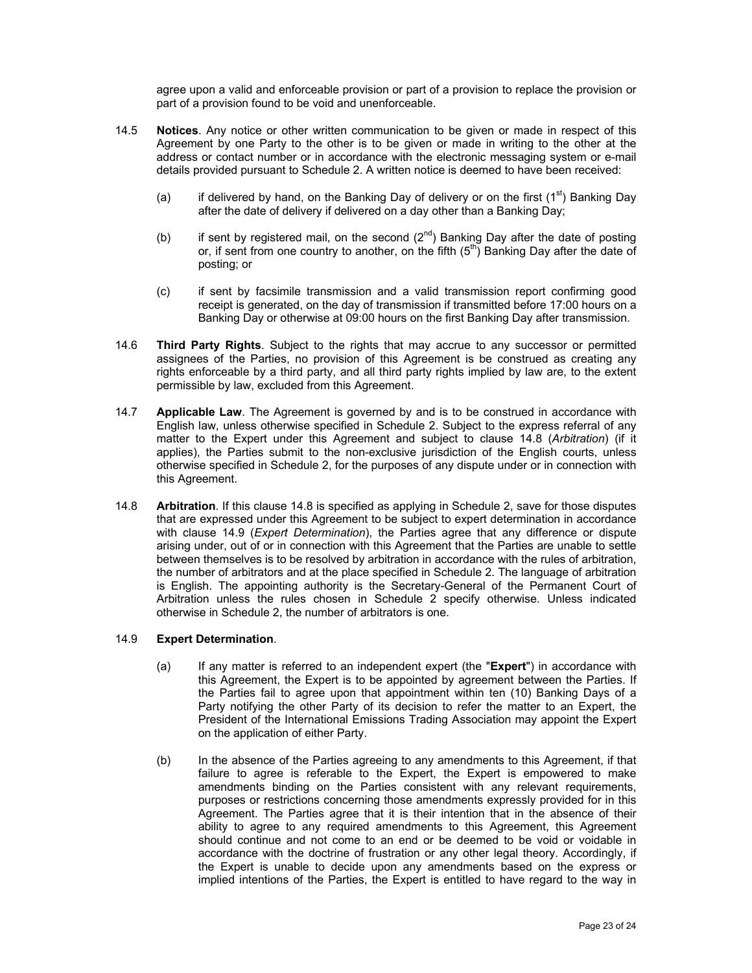agree upon a valid and enforceable provision or part of a provision to replace the provision or part of a provision found to be void and unenforceable.

- 14.5 **Notices.** Any notice or other written communication to be given or made in respect of this Agreement by one Party to the other is to be given or made in writing to the other at the address or contact number or in accordance with the electronic messaging system or e-mail details provided pursuant to Schedule 2. A written notice is deemed to have been received:
	- (a) if delivered by hand, on the Banking Day of delivery or on the first  $(1<sup>st</sup>)$  Banking Day after the date of delivery if delivered on a day other than a Banking Day;
	- (b) if sent by registered mail, on the second  $(2^{nd})$  Banking Day after the date of posting or, if sent from one country to another, on the fifth  $(5<sup>th</sup>)$  Banking Day after the date of posting; or
	- (c) if sent by facsimile transmission and a valid transmission report confirming good receipt is generated, on the day of transmission if transmitted before 17:00 hours on a Banking Day or otherwise at 09:00 hours on the first Banking Day after transmission.
- 14.6 Third Party Rights. Subject to the rights that may accrue to any successor or permitted assignees of the Parties, no provision of this Agreement is be construed as creating any rights enforceable by a third party, and all third party rights implied by law are, to the extent permissible by law, excluded from this Agreement.
- 14.7 Applicable Law. The Agreement is governed by and is to be construed in accordance with English law, unless otherwise specified in Schedule 2. Subject to the express referral of any matter to the Expert under this Agreement and subject to clause 14.8 (Arbitration) (if it applies), the Parties submit to the non-exclusive jurisdiction of the English courts, unless otherwise specified in Schedule 2, for the purposes of any dispute under or in connection with this Agreement.
- 14.8 **Arbitration**. If this clause 14.8 is specified as applying in Schedule 2, save for those disputes that are expressed under this Agreement to be subject to expert determination in accordance with clause 14.9 (*Expert Determination*), the Parties agree that any difference or dispute arising under, out of or in connection with this Agreement that the Parties are unable to settle between themselves is to be resolved by arbitration in accordance with the rules of arbitration, the number of arbitrators and at the place specified in Schedule 2. The language of arbitration is English. The appointing authority is the Secretary-General of the Permanent Court of Arbitration unless the rules chosen in Schedule 2 specify otherwise. Unless indicated otherwise in Schedule 2, the number of arbitrators is one.

### 14.9 Expert Determination.

- (a) If any matter is referred to an independent expert (the "Expert") in accordance with this Agreement, the Expert is to be appointed by agreement between the Parties. If the Parties fail to agree upon that appointment within ten (10) Banking Days of a Party notifying the other Party of its decision to refer the matter to an Expert, the President of the International Emissions Trading Association may appoint the Expert on the application of either Party.
- (b) In the absence of the Parties agreeing to any amendments to this Agreement, if that failure to agree is referable to the Expert, the Expert is empowered to make amendments binding on the Parties consistent with any relevant requirements, purposes or restrictions concerning those amendments expressly provided for in this Agreement. The Parties agree that it is their intention that in the absence of their ability to agree to any required amendments to this Agreement, this Agreement should continue and not come to an end or be deemed to be void or voidable in accordance with the doctrine of frustration or any other legal theory. Accordingly, if the Expert is unable to decide upon any amendments based on the express or implied intentions of the Parties, the Expert is entitled to have regard to the way in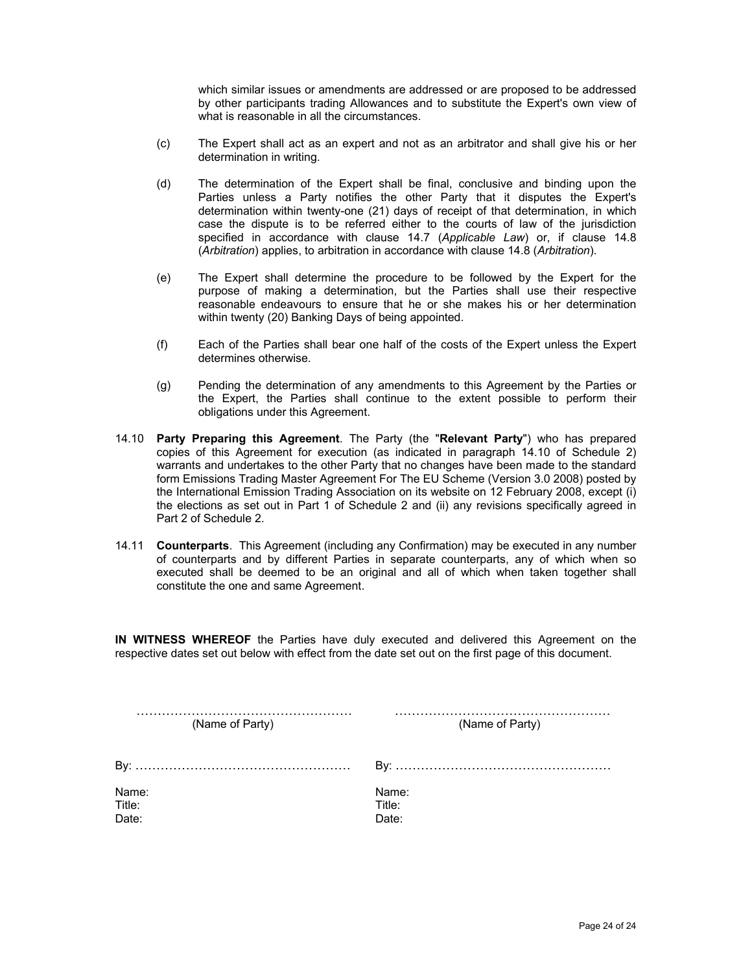which similar issues or amendments are addressed or are proposed to be addressed by other participants trading Allowances and to substitute the Expert's own view of what is reasonable in all the circumstances.

- (c) The Expert shall act as an expert and not as an arbitrator and shall give his or her determination in writing.
- (d) The determination of the Expert shall be final, conclusive and binding upon the Parties unless a Party notifies the other Party that it disputes the Expert's determination within twenty-one (21) days of receipt of that determination, in which case the dispute is to be referred either to the courts of law of the jurisdiction specified in accordance with clause 14.7 (Applicable Law) or, if clause 14.8 (Arbitration) applies, to arbitration in accordance with clause 14.8 (Arbitration).
- (e) The Expert shall determine the procedure to be followed by the Expert for the purpose of making a determination, but the Parties shall use their respective reasonable endeavours to ensure that he or she makes his or her determination within twenty (20) Banking Days of being appointed.
- (f) Each of the Parties shall bear one half of the costs of the Expert unless the Expert determines otherwise.
- (g) Pending the determination of any amendments to this Agreement by the Parties or the Expert, the Parties shall continue to the extent possible to perform their obligations under this Agreement.
- 14.10 Party Preparing this Agreement. The Party (the "Relevant Party") who has prepared copies of this Agreement for execution (as indicated in paragraph 14.10 of Schedule 2) warrants and undertakes to the other Party that no changes have been made to the standard form Emissions Trading Master Agreement For The EU Scheme (Version 3.0 2008) posted by the International Emission Trading Association on its website on 12 February 2008, except (i) the elections as set out in Part 1 of Schedule 2 and (ii) any revisions specifically agreed in Part 2 of Schedule 2.
- 14.11 Counterparts. This Agreement (including any Confirmation) may be executed in any number of counterparts and by different Parties in separate counterparts, any of which when so executed shall be deemed to be an original and all of which when taken together shall constitute the one and same Agreement.

IN WITNESS WHEREOF the Parties have duly executed and delivered this Agreement on the respective dates set out below with effect from the date set out on the first page of this document.

| (Name of Party)          | (Name of Party)          |
|--------------------------|--------------------------|
|                          |                          |
| Name:<br>Title:<br>Date: | Name:<br>Title:<br>Date: |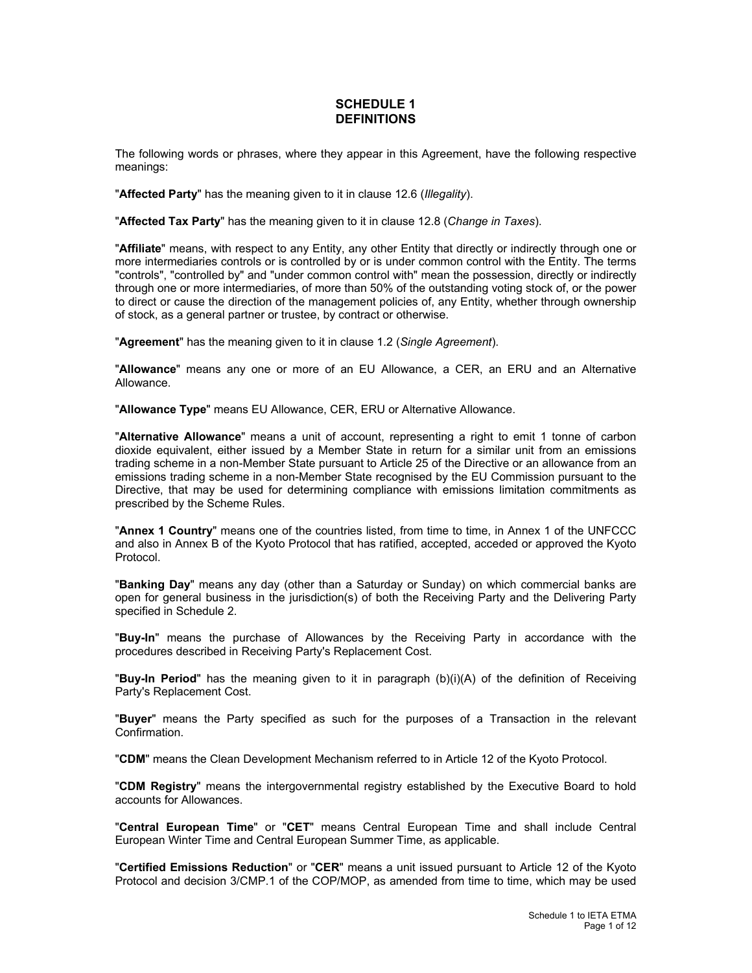# SCHEDULE 1 **DEFINITIONS**

The following words or phrases, where they appear in this Agreement, have the following respective meanings:

"Affected Party" has the meaning given to it in clause 12.6 (Illegality).

"Affected Tax Party" has the meaning given to it in clause 12.8 (Change in Taxes).

"Affiliate" means, with respect to any Entity, any other Entity that directly or indirectly through one or more intermediaries controls or is controlled by or is under common control with the Entity. The terms "controls", "controlled by" and "under common control with" mean the possession, directly or indirectly through one or more intermediaries, of more than 50% of the outstanding voting stock of, or the power to direct or cause the direction of the management policies of, any Entity, whether through ownership of stock, as a general partner or trustee, by contract or otherwise.

"Agreement" has the meaning given to it in clause 1.2 (Single Agreement).

"Allowance" means any one or more of an EU Allowance, a CER, an ERU and an Alternative Allowance.

"Allowance Type" means EU Allowance, CER, ERU or Alternative Allowance.

"Alternative Allowance" means a unit of account, representing a right to emit 1 tonne of carbon dioxide equivalent, either issued by a Member State in return for a similar unit from an emissions trading scheme in a non-Member State pursuant to Article 25 of the Directive or an allowance from an emissions trading scheme in a non-Member State recognised by the EU Commission pursuant to the Directive, that may be used for determining compliance with emissions limitation commitments as prescribed by the Scheme Rules.

"Annex 1 Country" means one of the countries listed, from time to time, in Annex 1 of the UNFCCC and also in Annex B of the Kyoto Protocol that has ratified, accepted, acceded or approved the Kyoto Protocol.

"Banking Day" means any day (other than a Saturday or Sunday) on which commercial banks are open for general business in the jurisdiction(s) of both the Receiving Party and the Delivering Party specified in Schedule 2.

**"Buy-In"** means the purchase of Allowances by the Receiving Party in accordance with the procedures described in Receiving Party's Replacement Cost.

"Buy-In Period" has the meaning given to it in paragraph  $(b)(i)(A)$  of the definition of Receiving Party's Replacement Cost.

"Buyer" means the Party specified as such for the purposes of a Transaction in the relevant Confirmation.

"CDM" means the Clean Development Mechanism referred to in Article 12 of the Kyoto Protocol.

"CDM Registry" means the intergovernmental registry established by the Executive Board to hold accounts for Allowances.

"Central European Time" or "CET" means Central European Time and shall include Central European Winter Time and Central European Summer Time, as applicable.

"Certified Emissions Reduction" or "CER" means a unit issued pursuant to Article 12 of the Kyoto Protocol and decision 3/CMP.1 of the COP/MOP, as amended from time to time, which may be used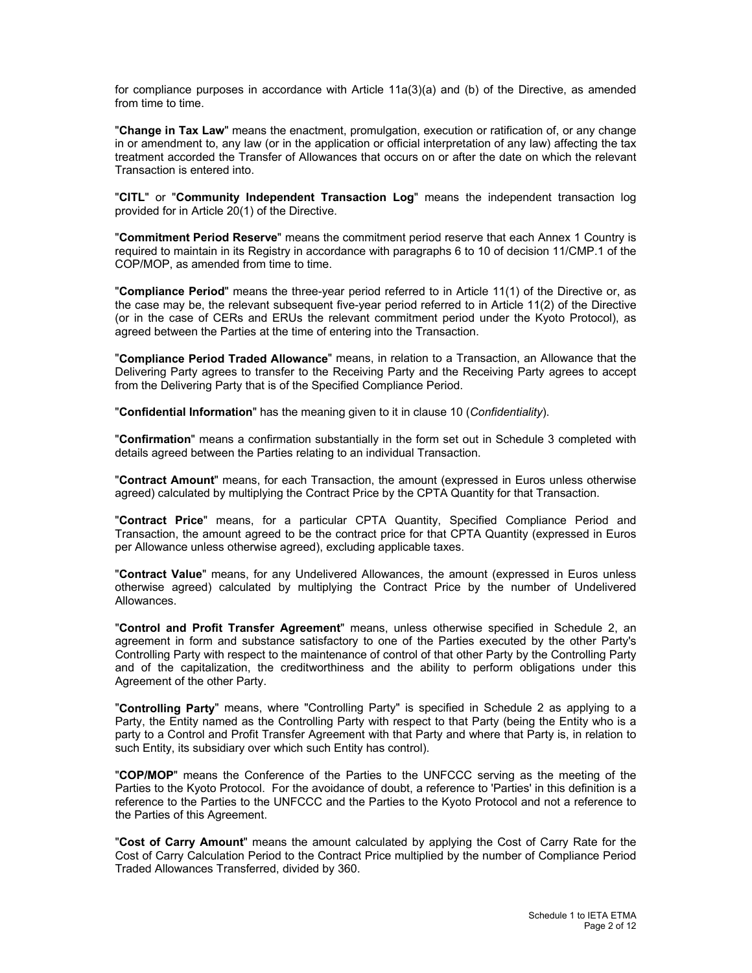for compliance purposes in accordance with Article 11a(3)(a) and (b) of the Directive, as amended from time to time.

"Change in Tax Law" means the enactment, promulgation, execution or ratification of, or any change in or amendment to, any law (or in the application or official interpretation of any law) affecting the tax treatment accorded the Transfer of Allowances that occurs on or after the date on which the relevant Transaction is entered into.

"CITL" or "Community Independent Transaction Log" means the independent transaction log provided for in Article 20(1) of the Directive.

"Commitment Period Reserve" means the commitment period reserve that each Annex 1 Country is required to maintain in its Registry in accordance with paragraphs 6 to 10 of decision 11/CMP.1 of the COP/MOP, as amended from time to time.

"Compliance Period" means the three-year period referred to in Article 11(1) of the Directive or, as the case may be, the relevant subsequent five-year period referred to in Article 11(2) of the Directive (or in the case of CERs and ERUs the relevant commitment period under the Kyoto Protocol), as agreed between the Parties at the time of entering into the Transaction.

"Compliance Period Traded Allowance" means, in relation to a Transaction, an Allowance that the Delivering Party agrees to transfer to the Receiving Party and the Receiving Party agrees to accept from the Delivering Party that is of the Specified Compliance Period.

"Confidential Information" has the meaning given to it in clause 10 (Confidentiality).

"Confirmation" means a confirmation substantially in the form set out in Schedule 3 completed with details agreed between the Parties relating to an individual Transaction.

"Contract Amount" means, for each Transaction, the amount (expressed in Euros unless otherwise agreed) calculated by multiplying the Contract Price by the CPTA Quantity for that Transaction.

"Contract Price" means, for a particular CPTA Quantity, Specified Compliance Period and Transaction, the amount agreed to be the contract price for that CPTA Quantity (expressed in Euros per Allowance unless otherwise agreed), excluding applicable taxes.

"Contract Value" means, for any Undelivered Allowances, the amount (expressed in Euros unless otherwise agreed) calculated by multiplying the Contract Price by the number of Undelivered Allowances.

"Control and Profit Transfer Agreement" means, unless otherwise specified in Schedule 2, an agreement in form and substance satisfactory to one of the Parties executed by the other Party's Controlling Party with respect to the maintenance of control of that other Party by the Controlling Party and of the capitalization, the creditworthiness and the ability to perform obligations under this Agreement of the other Party.

"Controlling Party" means, where "Controlling Party" is specified in Schedule 2 as applying to a Party, the Entity named as the Controlling Party with respect to that Party (being the Entity who is a party to a Control and Profit Transfer Agreement with that Party and where that Party is, in relation to such Entity, its subsidiary over which such Entity has control).

"COP/MOP" means the Conference of the Parties to the UNFCCC serving as the meeting of the Parties to the Kyoto Protocol. For the avoidance of doubt, a reference to 'Parties' in this definition is a reference to the Parties to the UNFCCC and the Parties to the Kyoto Protocol and not a reference to the Parties of this Agreement.

"Cost of Carry Amount" means the amount calculated by applying the Cost of Carry Rate for the Cost of Carry Calculation Period to the Contract Price multiplied by the number of Compliance Period Traded Allowances Transferred, divided by 360.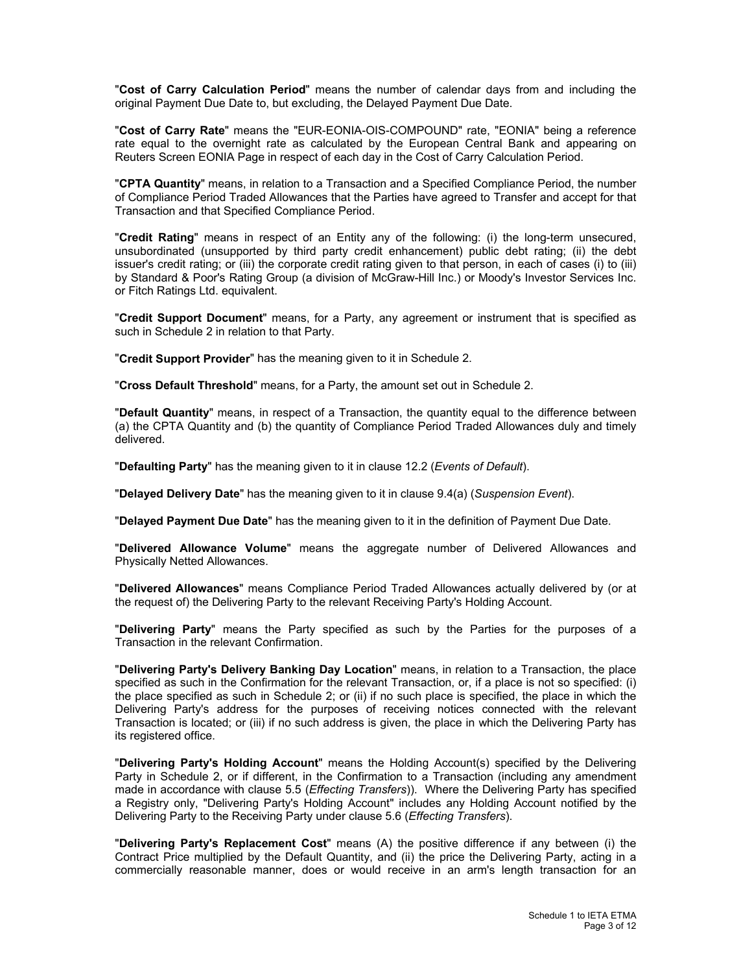"Cost of Carry Calculation Period" means the number of calendar days from and including the original Payment Due Date to, but excluding, the Delayed Payment Due Date.

"Cost of Carry Rate" means the "EUR-EONIA-OIS-COMPOUND" rate, "EONIA" being a reference rate equal to the overnight rate as calculated by the European Central Bank and appearing on Reuters Screen EONIA Page in respect of each day in the Cost of Carry Calculation Period.

"CPTA Quantity" means, in relation to a Transaction and a Specified Compliance Period, the number of Compliance Period Traded Allowances that the Parties have agreed to Transfer and accept for that Transaction and that Specified Compliance Period.

"Credit Rating" means in respect of an Entity any of the following: (i) the long-term unsecured, unsubordinated (unsupported by third party credit enhancement) public debt rating; (ii) the debt issuer's credit rating; or (iii) the corporate credit rating given to that person, in each of cases (i) to (iii) by Standard & Poor's Rating Group (a division of McGraw-Hill Inc.) or Moody's Investor Services Inc. or Fitch Ratings Ltd. equivalent.

"Credit Support Document" means, for a Party, any agreement or instrument that is specified as such in Schedule 2 in relation to that Party.

"Credit Support Provider" has the meaning given to it in Schedule 2.

"Cross Default Threshold" means, for a Party, the amount set out in Schedule 2.

"Default Quantity" means, in respect of a Transaction, the quantity equal to the difference between (a) the CPTA Quantity and (b) the quantity of Compliance Period Traded Allowances duly and timely delivered.

"Defaulting Party" has the meaning given to it in clause 12.2 (*Events of Default*).

"Delayed Delivery Date" has the meaning given to it in clause 9.4(a) (Suspension Event).

"Delayed Payment Due Date" has the meaning given to it in the definition of Payment Due Date.

"Delivered Allowance Volume" means the aggregate number of Delivered Allowances and Physically Netted Allowances.

"Delivered Allowances" means Compliance Period Traded Allowances actually delivered by (or at the request of) the Delivering Party to the relevant Receiving Party's Holding Account.

"Delivering Party" means the Party specified as such by the Parties for the purposes of a Transaction in the relevant Confirmation.

"Delivering Party's Delivery Banking Day Location" means, in relation to a Transaction, the place specified as such in the Confirmation for the relevant Transaction, or, if a place is not so specified: (i) the place specified as such in Schedule 2; or (ii) if no such place is specified, the place in which the Delivering Party's address for the purposes of receiving notices connected with the relevant Transaction is located; or (iii) if no such address is given, the place in which the Delivering Party has its registered office.

"Delivering Party's Holding Account" means the Holding Account(s) specified by the Delivering Party in Schedule 2, or if different, in the Confirmation to a Transaction (including any amendment made in accordance with clause 5.5 (Effecting Transfers)). Where the Delivering Party has specified a Registry only, "Delivering Party's Holding Account" includes any Holding Account notified by the Delivering Party to the Receiving Party under clause 5.6 (Effecting Transfers).

"Delivering Party's Replacement Cost" means (A) the positive difference if any between (i) the Contract Price multiplied by the Default Quantity, and (ii) the price the Delivering Party, acting in a commercially reasonable manner, does or would receive in an arm's length transaction for an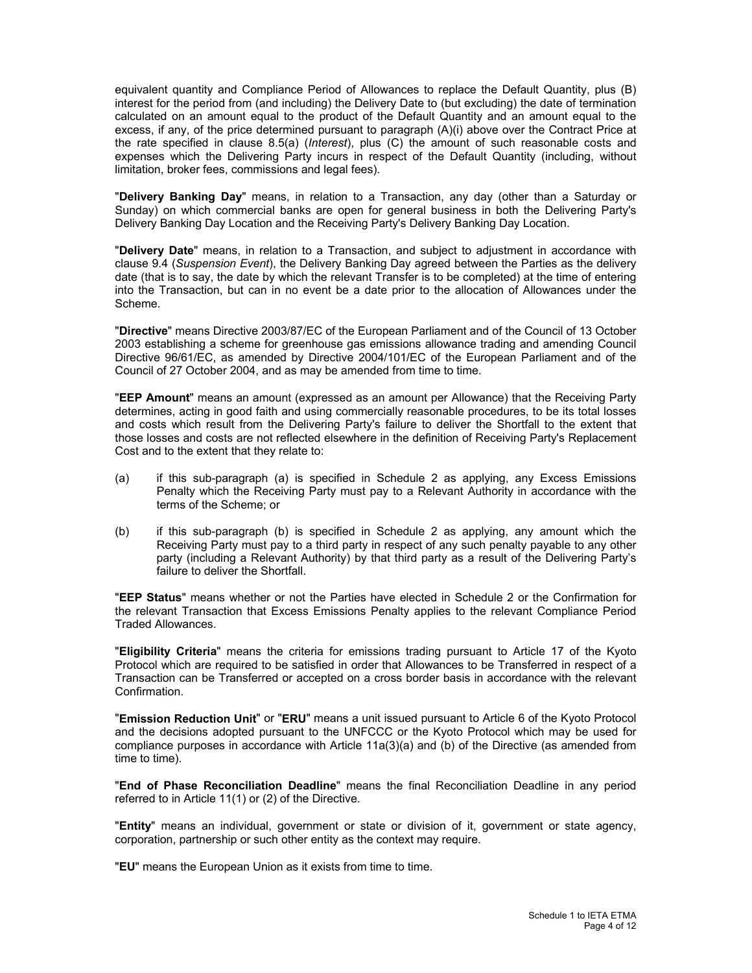equivalent quantity and Compliance Period of Allowances to replace the Default Quantity, plus (B) interest for the period from (and including) the Delivery Date to (but excluding) the date of termination calculated on an amount equal to the product of the Default Quantity and an amount equal to the excess, if any, of the price determined pursuant to paragraph (A)(i) above over the Contract Price at the rate specified in clause 8.5(a) (Interest), plus (C) the amount of such reasonable costs and expenses which the Delivering Party incurs in respect of the Default Quantity (including, without limitation, broker fees, commissions and legal fees).

"Delivery Banking Day" means, in relation to a Transaction, any day (other than a Saturday or Sunday) on which commercial banks are open for general business in both the Delivering Party's Delivery Banking Day Location and the Receiving Party's Delivery Banking Day Location.

"Delivery Date" means, in relation to a Transaction, and subject to adjustment in accordance with clause 9.4 (Suspension Event), the Delivery Banking Day agreed between the Parties as the delivery date (that is to say, the date by which the relevant Transfer is to be completed) at the time of entering into the Transaction, but can in no event be a date prior to the allocation of Allowances under the Scheme.

"Directive" means Directive 2003/87/EC of the European Parliament and of the Council of 13 October 2003 establishing a scheme for greenhouse gas emissions allowance trading and amending Council Directive 96/61/EC, as amended by Directive 2004/101/EC of the European Parliament and of the Council of 27 October 2004, and as may be amended from time to time.

"EEP Amount" means an amount (expressed as an amount per Allowance) that the Receiving Party determines, acting in good faith and using commercially reasonable procedures, to be its total losses and costs which result from the Delivering Party's failure to deliver the Shortfall to the extent that those losses and costs are not reflected elsewhere in the definition of Receiving Party's Replacement Cost and to the extent that they relate to:

- (a) if this sub-paragraph (a) is specified in Schedule 2 as applying, any Excess Emissions Penalty which the Receiving Party must pay to a Relevant Authority in accordance with the terms of the Scheme; or
- (b) if this sub-paragraph (b) is specified in Schedule 2 as applying, any amount which the Receiving Party must pay to a third party in respect of any such penalty payable to any other party (including a Relevant Authority) by that third party as a result of the Delivering Party's failure to deliver the Shortfall.

"EEP Status" means whether or not the Parties have elected in Schedule 2 or the Confirmation for the relevant Transaction that Excess Emissions Penalty applies to the relevant Compliance Period Traded Allowances.

"Eligibility Criteria" means the criteria for emissions trading pursuant to Article 17 of the Kyoto Protocol which are required to be satisfied in order that Allowances to be Transferred in respect of a Transaction can be Transferred or accepted on a cross border basis in accordance with the relevant Confirmation.

"Emission Reduction Unit" or "ERU" means a unit issued pursuant to Article 6 of the Kyoto Protocol and the decisions adopted pursuant to the UNFCCC or the Kyoto Protocol which may be used for compliance purposes in accordance with Article 11a(3)(a) and (b) of the Directive (as amended from time to time).

"End of Phase Reconciliation Deadline" means the final Reconciliation Deadline in any period referred to in Article 11(1) or (2) of the Directive.

"Entity" means an individual, government or state or division of it, government or state agency, corporation, partnership or such other entity as the context may require.

"EU" means the European Union as it exists from time to time.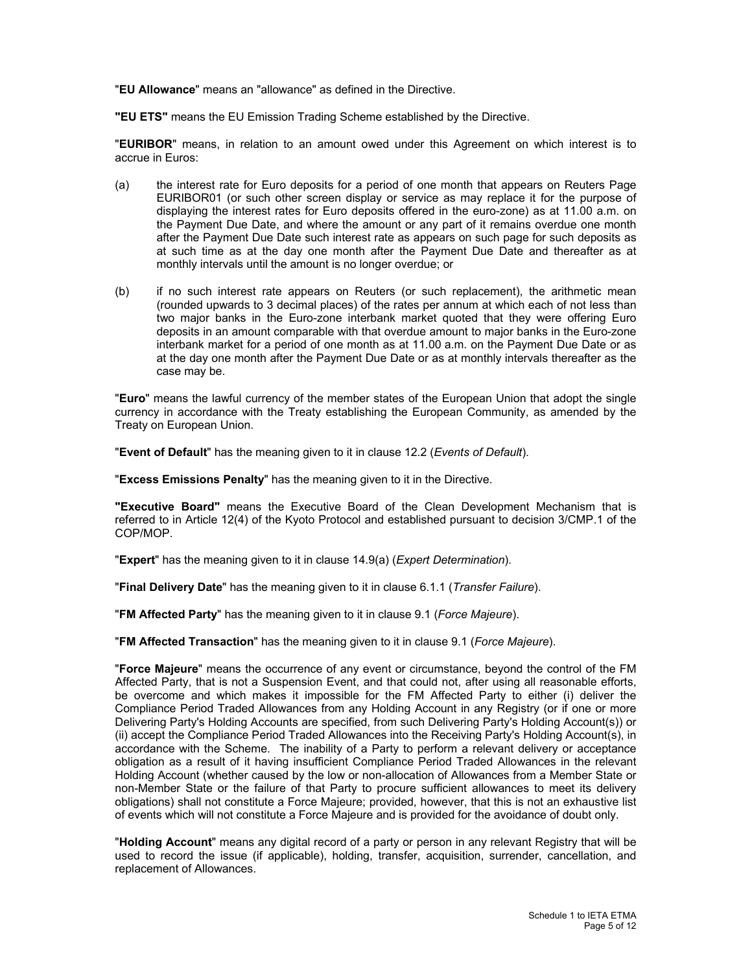"EU Allowance" means an "allowance" as defined in the Directive.

"EU ETS" means the EU Emission Trading Scheme established by the Directive.

"EURIBOR" means, in relation to an amount owed under this Agreement on which interest is to accrue in Euros:

- (a) the interest rate for Euro deposits for a period of one month that appears on Reuters Page EURIBOR01 (or such other screen display or service as may replace it for the purpose of displaying the interest rates for Euro deposits offered in the euro-zone) as at 11.00 a.m. on the Payment Due Date, and where the amount or any part of it remains overdue one month after the Payment Due Date such interest rate as appears on such page for such deposits as at such time as at the day one month after the Payment Due Date and thereafter as at monthly intervals until the amount is no longer overdue; or
- (b) if no such interest rate appears on Reuters (or such replacement), the arithmetic mean (rounded upwards to 3 decimal places) of the rates per annum at which each of not less than two major banks in the Euro-zone interbank market quoted that they were offering Euro deposits in an amount comparable with that overdue amount to major banks in the Euro-zone interbank market for a period of one month as at 11.00 a.m. on the Payment Due Date or as at the day one month after the Payment Due Date or as at monthly intervals thereafter as the case may be.

"Euro" means the lawful currency of the member states of the European Union that adopt the single currency in accordance with the Treaty establishing the European Community, as amended by the Treaty on European Union.

"Event of Default" has the meaning given to it in clause 12.2 (Events of Default).

"Excess Emissions Penalty" has the meaning given to it in the Directive.

"Executive Board" means the Executive Board of the Clean Development Mechanism that is referred to in Article 12(4) of the Kyoto Protocol and established pursuant to decision 3/CMP.1 of the COP/MOP.

"Expert" has the meaning given to it in clause 14.9(a) (*Expert Determination*).

"Final Delivery Date" has the meaning given to it in clause 6.1.1 (Transfer Failure).

"FM Affected Party" has the meaning given to it in clause 9.1 (Force Majeure).

**"FM Affected Transaction"** has the meaning given to it in clause 9.1 (*Force Majeure*).

"Force Majeure" means the occurrence of any event or circumstance, beyond the control of the FM Affected Party, that is not a Suspension Event, and that could not, after using all reasonable efforts, be overcome and which makes it impossible for the FM Affected Party to either (i) deliver the Compliance Period Traded Allowances from any Holding Account in any Registry (or if one or more Delivering Party's Holding Accounts are specified, from such Delivering Party's Holding Account(s)) or (ii) accept the Compliance Period Traded Allowances into the Receiving Party's Holding Account(s), in accordance with the Scheme. The inability of a Party to perform a relevant delivery or acceptance obligation as a result of it having insufficient Compliance Period Traded Allowances in the relevant Holding Account (whether caused by the low or non-allocation of Allowances from a Member State or non-Member State or the failure of that Party to procure sufficient allowances to meet its delivery obligations) shall not constitute a Force Majeure; provided, however, that this is not an exhaustive list of events which will not constitute a Force Majeure and is provided for the avoidance of doubt only.

"Holding Account" means any digital record of a party or person in any relevant Registry that will be used to record the issue (if applicable), holding, transfer, acquisition, surrender, cancellation, and replacement of Allowances.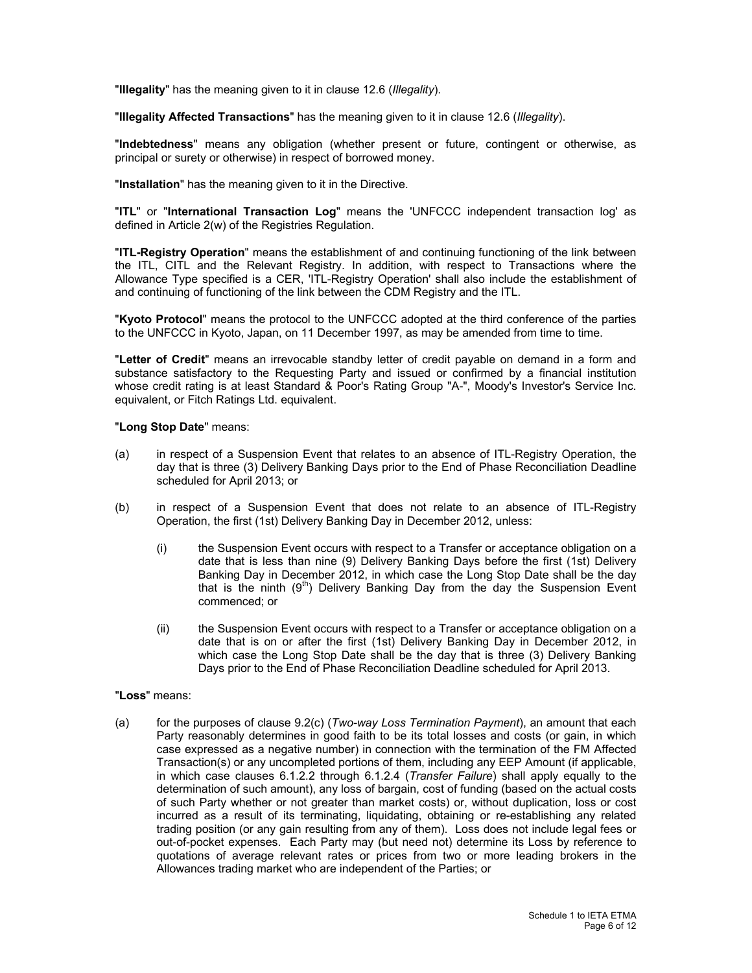"Illegality" has the meaning given to it in clause 12.6 (Illegality).

"Illegality Affected Transactions" has the meaning given to it in clause 12.6 (Illegality).

"Indebtedness" means any obligation (whether present or future, contingent or otherwise, as principal or surety or otherwise) in respect of borrowed money.

"Installation" has the meaning given to it in the Directive.

"ITL" or "International Transaction Log" means the 'UNFCCC independent transaction log' as defined in Article 2(w) of the Registries Regulation.

"ITL-Registry Operation" means the establishment of and continuing functioning of the link between the ITL, CITL and the Relevant Registry. In addition, with respect to Transactions where the Allowance Type specified is a CER, 'ITL-Registry Operation' shall also include the establishment of and continuing of functioning of the link between the CDM Registry and the ITL.

"Kyoto Protocol" means the protocol to the UNFCCC adopted at the third conference of the parties to the UNFCCC in Kyoto, Japan, on 11 December 1997, as may be amended from time to time.

"Letter of Credit" means an irrevocable standby letter of credit payable on demand in a form and substance satisfactory to the Requesting Party and issued or confirmed by a financial institution whose credit rating is at least Standard & Poor's Rating Group "A-", Moody's Investor's Service Inc. equivalent, or Fitch Ratings Ltd. equivalent.

#### "Long Stop Date" means:

- (a) in respect of a Suspension Event that relates to an absence of ITL-Registry Operation, the day that is three (3) Delivery Banking Days prior to the End of Phase Reconciliation Deadline scheduled for April 2013; or
- (b) in respect of a Suspension Event that does not relate to an absence of ITL-Registry Operation, the first (1st) Delivery Banking Day in December 2012, unless:
	- (i) the Suspension Event occurs with respect to a Transfer or acceptance obligation on a date that is less than nine (9) Delivery Banking Days before the first (1st) Delivery Banking Day in December 2012, in which case the Long Stop Date shall be the day that is the ninth  $(9<sup>th</sup>)$  Delivery Banking Day from the day the Suspension Event commenced; or
	- (ii) the Suspension Event occurs with respect to a Transfer or acceptance obligation on a date that is on or after the first (1st) Delivery Banking Day in December 2012, in which case the Long Stop Date shall be the day that is three (3) Delivery Banking Days prior to the End of Phase Reconciliation Deadline scheduled for April 2013.

### "Loss" means:

(a) for the purposes of clause  $9.2(c)$  (Two-way Loss Termination Payment), an amount that each Party reasonably determines in good faith to be its total losses and costs (or gain, in which case expressed as a negative number) in connection with the termination of the FM Affected Transaction(s) or any uncompleted portions of them, including any EEP Amount (if applicable, in which case clauses 6.1.2.2 through 6.1.2.4 (Transfer Failure) shall apply equally to the determination of such amount), any loss of bargain, cost of funding (based on the actual costs of such Party whether or not greater than market costs) or, without duplication, loss or cost incurred as a result of its terminating, liquidating, obtaining or re-establishing any related trading position (or any gain resulting from any of them). Loss does not include legal fees or out-of-pocket expenses. Each Party may (but need not) determine its Loss by reference to quotations of average relevant rates or prices from two or more leading brokers in the Allowances trading market who are independent of the Parties; or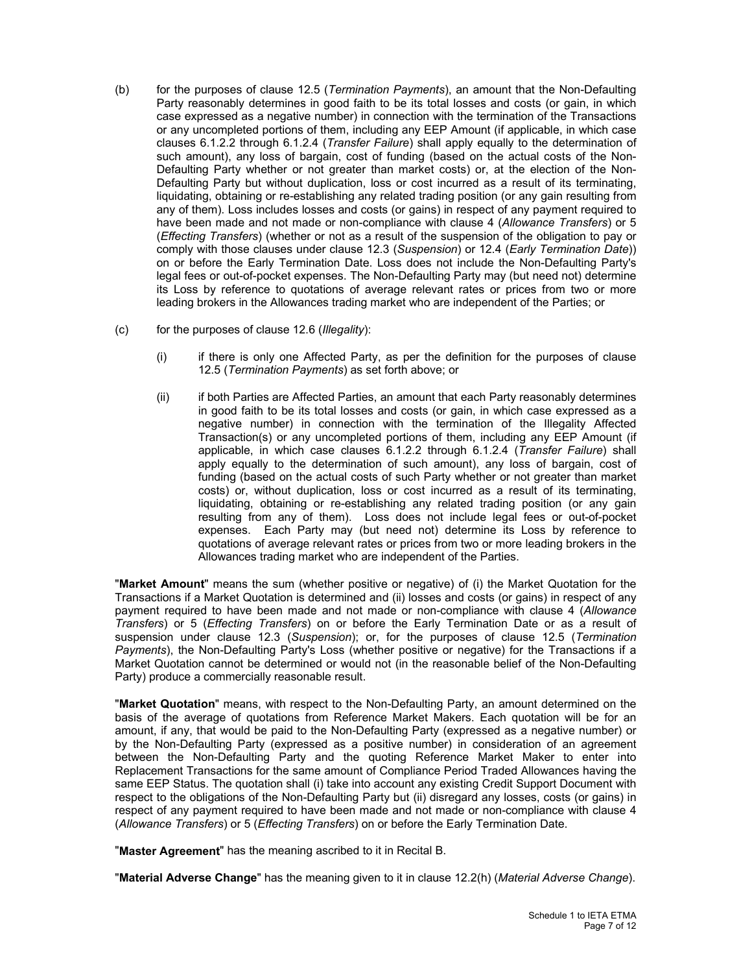- (b) for the purposes of clause 12.5 (Termination Payments), an amount that the Non-Defaulting Party reasonably determines in good faith to be its total losses and costs (or gain, in which case expressed as a negative number) in connection with the termination of the Transactions or any uncompleted portions of them, including any EEP Amount (if applicable, in which case clauses 6.1.2.2 through 6.1.2.4 (Transfer Failure) shall apply equally to the determination of such amount), any loss of bargain, cost of funding (based on the actual costs of the Non-Defaulting Party whether or not greater than market costs) or, at the election of the Non-Defaulting Party but without duplication, loss or cost incurred as a result of its terminating, liquidating, obtaining or re-establishing any related trading position (or any gain resulting from any of them). Loss includes losses and costs (or gains) in respect of any payment required to have been made and not made or non-compliance with clause 4 (Allowance Transfers) or 5 (Effecting Transfers) (whether or not as a result of the suspension of the obligation to pay or comply with those clauses under clause 12.3 (Suspension) or 12.4 (Early Termination Date)) on or before the Early Termination Date. Loss does not include the Non-Defaulting Party's legal fees or out-of-pocket expenses. The Non-Defaulting Party may (but need not) determine its Loss by reference to quotations of average relevant rates or prices from two or more leading brokers in the Allowances trading market who are independent of the Parties; or
- (c) for the purposes of clause 12.6 (Illegality):
	- (i) if there is only one Affected Party, as per the definition for the purposes of clause 12.5 (Termination Payments) as set forth above; or
	- (ii) if both Parties are Affected Parties, an amount that each Party reasonably determines in good faith to be its total losses and costs (or gain, in which case expressed as a negative number) in connection with the termination of the Illegality Affected Transaction(s) or any uncompleted portions of them, including any EEP Amount (if applicable, in which case clauses 6.1.2.2 through 6.1.2.4 (Transfer Failure) shall apply equally to the determination of such amount), any loss of bargain, cost of funding (based on the actual costs of such Party whether or not greater than market costs) or, without duplication, loss or cost incurred as a result of its terminating, liquidating, obtaining or re-establishing any related trading position (or any gain resulting from any of them). Loss does not include legal fees or out-of-pocket expenses. Each Party may (but need not) determine its Loss by reference to quotations of average relevant rates or prices from two or more leading brokers in the Allowances trading market who are independent of the Parties.

"Market Amount" means the sum (whether positive or negative) of (i) the Market Quotation for the Transactions if a Market Quotation is determined and (ii) losses and costs (or gains) in respect of any payment required to have been made and not made or non-compliance with clause 4 (Allowance Transfers) or 5 (Effecting Transfers) on or before the Early Termination Date or as a result of suspension under clause 12.3 (Suspension); or, for the purposes of clause 12.5 (Termination Payments), the Non-Defaulting Party's Loss (whether positive or negative) for the Transactions if a Market Quotation cannot be determined or would not (in the reasonable belief of the Non-Defaulting Party) produce a commercially reasonable result.

"Market Quotation" means, with respect to the Non-Defaulting Party, an amount determined on the basis of the average of quotations from Reference Market Makers. Each quotation will be for an amount, if any, that would be paid to the Non-Defaulting Party (expressed as a negative number) or by the Non-Defaulting Party (expressed as a positive number) in consideration of an agreement between the Non-Defaulting Party and the quoting Reference Market Maker to enter into Replacement Transactions for the same amount of Compliance Period Traded Allowances having the same EEP Status. The quotation shall (i) take into account any existing Credit Support Document with respect to the obligations of the Non-Defaulting Party but (ii) disregard any losses, costs (or gains) in respect of any payment required to have been made and not made or non-compliance with clause 4 (Allowance Transfers) or 5 (Effecting Transfers) on or before the Early Termination Date.

"Master Agreement" has the meaning ascribed to it in Recital B.

"Material Adverse Change" has the meaning given to it in clause 12.2(h) (Material Adverse Change).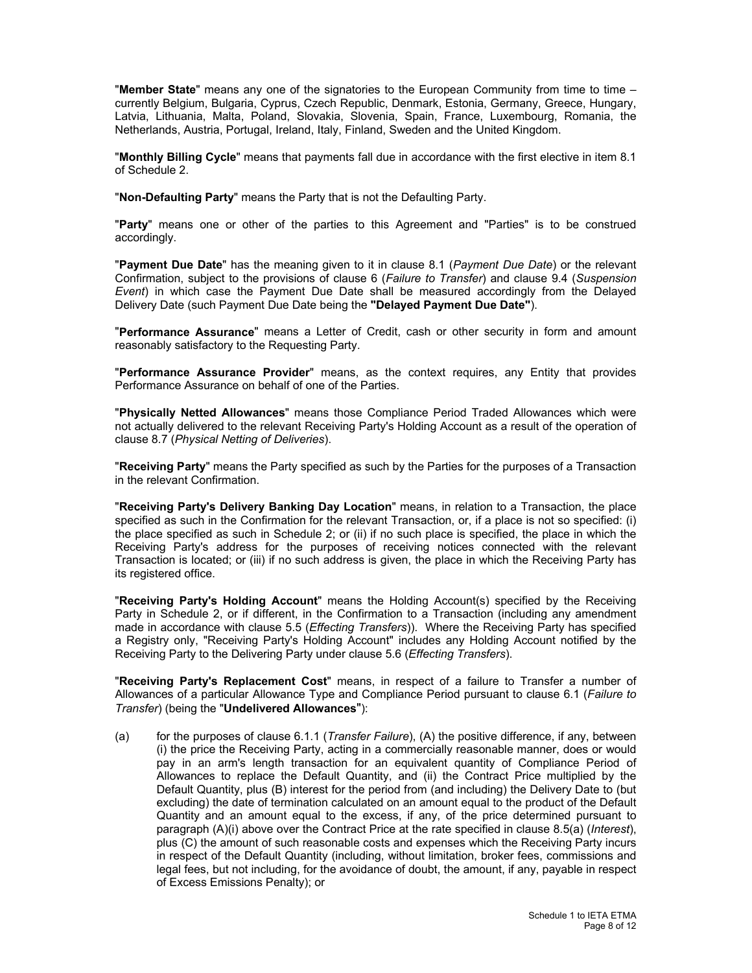"Member State" means any one of the signatories to the European Community from time to time – currently Belgium, Bulgaria, Cyprus, Czech Republic, Denmark, Estonia, Germany, Greece, Hungary, Latvia, Lithuania, Malta, Poland, Slovakia, Slovenia, Spain, France, Luxembourg, Romania, the Netherlands, Austria, Portugal, Ireland, Italy, Finland, Sweden and the United Kingdom.

"Monthly Billing Cycle" means that payments fall due in accordance with the first elective in item 8.1 of Schedule 2.

"Non-Defaulting Party" means the Party that is not the Defaulting Party.

"Party" means one or other of the parties to this Agreement and "Parties" is to be construed accordingly.

"Payment Due Date" has the meaning given to it in clause 8.1 (Payment Due Date) or the relevant Confirmation, subject to the provisions of clause 6 (Failure to Transfer) and clause 9.4 (Suspension Event) in which case the Payment Due Date shall be measured accordingly from the Delayed Delivery Date (such Payment Due Date being the "Delayed Payment Due Date").

"Performance Assurance" means a Letter of Credit, cash or other security in form and amount reasonably satisfactory to the Requesting Party.

"Performance Assurance Provider" means, as the context requires, any Entity that provides Performance Assurance on behalf of one of the Parties.

"Physically Netted Allowances" means those Compliance Period Traded Allowances which were not actually delivered to the relevant Receiving Party's Holding Account as a result of the operation of clause 8.7 (Physical Netting of Deliveries).

"Receiving Party" means the Party specified as such by the Parties for the purposes of a Transaction in the relevant Confirmation.

"Receiving Party's Delivery Banking Day Location" means, in relation to a Transaction, the place specified as such in the Confirmation for the relevant Transaction, or, if a place is not so specified: (i) the place specified as such in Schedule 2; or (ii) if no such place is specified, the place in which the Receiving Party's address for the purposes of receiving notices connected with the relevant Transaction is located; or (iii) if no such address is given, the place in which the Receiving Party has its registered office.

"Receiving Party's Holding Account" means the Holding Account(s) specified by the Receiving Party in Schedule 2, or if different, in the Confirmation to a Transaction (including any amendment made in accordance with clause 5.5 (Effecting Transfers)). Where the Receiving Party has specified a Registry only, "Receiving Party's Holding Account" includes any Holding Account notified by the Receiving Party to the Delivering Party under clause 5.6 (Effecting Transfers).

"Receiving Party's Replacement Cost" means, in respect of a failure to Transfer a number of Allowances of a particular Allowance Type and Compliance Period pursuant to clause 6.1 (Failure to Transfer) (being the "Undelivered Allowances"):

(a) for the purposes of clause  $6.1.1$  (*Transfer Failure*), (A) the positive difference, if any, between (i) the price the Receiving Party, acting in a commercially reasonable manner, does or would pay in an arm's length transaction for an equivalent quantity of Compliance Period of Allowances to replace the Default Quantity, and (ii) the Contract Price multiplied by the Default Quantity, plus (B) interest for the period from (and including) the Delivery Date to (but excluding) the date of termination calculated on an amount equal to the product of the Default Quantity and an amount equal to the excess, if any, of the price determined pursuant to paragraph (A)(i) above over the Contract Price at the rate specified in clause 8.5(a) (Interest), plus (C) the amount of such reasonable costs and expenses which the Receiving Party incurs in respect of the Default Quantity (including, without limitation, broker fees, commissions and legal fees, but not including, for the avoidance of doubt, the amount, if any, payable in respect of Excess Emissions Penalty); or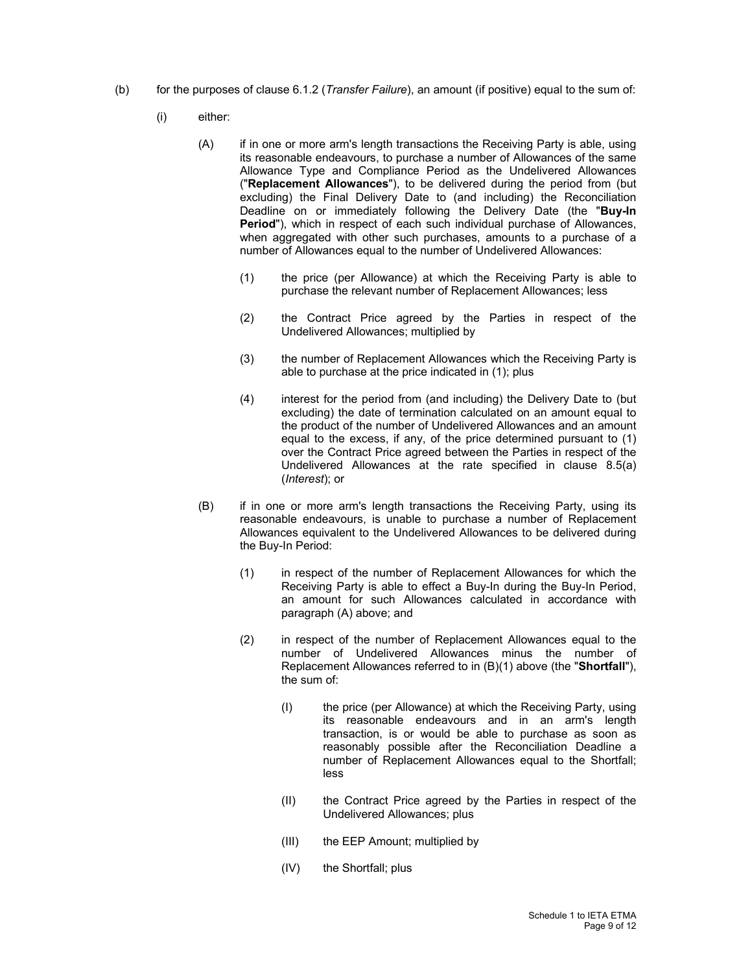- (b) for the purposes of clause 6.1.2 (Transfer Failure), an amount (if positive) equal to the sum of:
	- (i) either:
		- (A) if in one or more arm's length transactions the Receiving Party is able, using its reasonable endeavours, to purchase a number of Allowances of the same Allowance Type and Compliance Period as the Undelivered Allowances ("Replacement Allowances"), to be delivered during the period from (but excluding) the Final Delivery Date to (and including) the Reconciliation Deadline on or immediately following the Delivery Date (the "Buy-In Period"), which in respect of each such individual purchase of Allowances, when aggregated with other such purchases, amounts to a purchase of a number of Allowances equal to the number of Undelivered Allowances:
			- (1) the price (per Allowance) at which the Receiving Party is able to purchase the relevant number of Replacement Allowances; less
			- (2) the Contract Price agreed by the Parties in respect of the Undelivered Allowances; multiplied by
			- (3) the number of Replacement Allowances which the Receiving Party is able to purchase at the price indicated in (1); plus
			- (4) interest for the period from (and including) the Delivery Date to (but excluding) the date of termination calculated on an amount equal to the product of the number of Undelivered Allowances and an amount equal to the excess, if any, of the price determined pursuant to (1) over the Contract Price agreed between the Parties in respect of the Undelivered Allowances at the rate specified in clause 8.5(a) (Interest); or
		- (B) if in one or more arm's length transactions the Receiving Party, using its reasonable endeavours, is unable to purchase a number of Replacement Allowances equivalent to the Undelivered Allowances to be delivered during the Buy-In Period:
			- (1) in respect of the number of Replacement Allowances for which the Receiving Party is able to effect a Buy-In during the Buy-In Period, an amount for such Allowances calculated in accordance with paragraph (A) above; and
			- (2) in respect of the number of Replacement Allowances equal to the number of Undelivered Allowances minus the number of Replacement Allowances referred to in (B)(1) above (the "Shortfall"), the sum of:
				- (I) the price (per Allowance) at which the Receiving Party, using its reasonable endeavours and in an arm's length transaction, is or would be able to purchase as soon as reasonably possible after the Reconciliation Deadline a number of Replacement Allowances equal to the Shortfall; less
				- (II) the Contract Price agreed by the Parties in respect of the Undelivered Allowances; plus
				- (III) the EEP Amount; multiplied by
				- (IV) the Shortfall; plus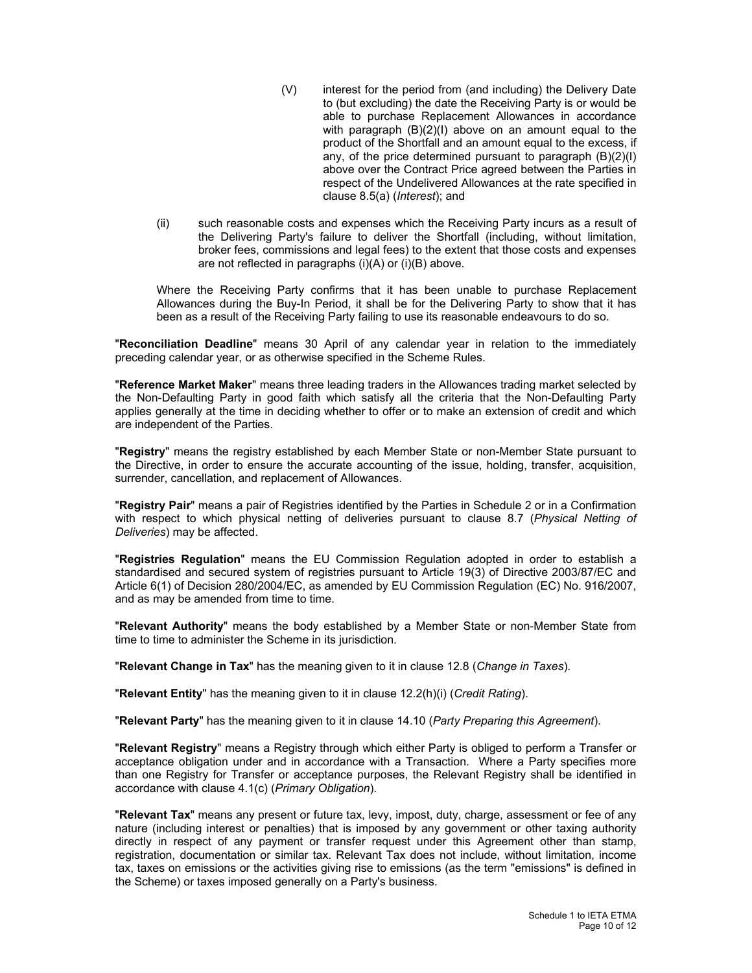- (V) interest for the period from (and including) the Delivery Date to (but excluding) the date the Receiving Party is or would be able to purchase Replacement Allowances in accordance with paragraph (B)(2)(I) above on an amount equal to the product of the Shortfall and an amount equal to the excess, if any, of the price determined pursuant to paragraph (B)(2)(I) above over the Contract Price agreed between the Parties in respect of the Undelivered Allowances at the rate specified in clause 8.5(a) (Interest); and
- (ii) such reasonable costs and expenses which the Receiving Party incurs as a result of the Delivering Party's failure to deliver the Shortfall (including, without limitation, broker fees, commissions and legal fees) to the extent that those costs and expenses are not reflected in paragraphs (i)(A) or (i)(B) above.

Where the Receiving Party confirms that it has been unable to purchase Replacement Allowances during the Buy-In Period, it shall be for the Delivering Party to show that it has been as a result of the Receiving Party failing to use its reasonable endeavours to do so.

"Reconciliation Deadline" means 30 April of any calendar year in relation to the immediately preceding calendar year, or as otherwise specified in the Scheme Rules.

"Reference Market Maker" means three leading traders in the Allowances trading market selected by the Non-Defaulting Party in good faith which satisfy all the criteria that the Non-Defaulting Party applies generally at the time in deciding whether to offer or to make an extension of credit and which are independent of the Parties.

"Registry" means the registry established by each Member State or non-Member State pursuant to the Directive, in order to ensure the accurate accounting of the issue, holding, transfer, acquisition, surrender, cancellation, and replacement of Allowances.

"Registry Pair" means a pair of Registries identified by the Parties in Schedule 2 or in a Confirmation with respect to which physical netting of deliveries pursuant to clause 8.7 (Physical Netting of Deliveries) may be affected.

"Registries Regulation" means the EU Commission Regulation adopted in order to establish a standardised and secured system of registries pursuant to Article 19(3) of Directive 2003/87/EC and Article 6(1) of Decision 280/2004/EC, as amended by EU Commission Regulation (EC) No. 916/2007, and as may be amended from time to time.

"Relevant Authority" means the body established by a Member State or non-Member State from time to time to administer the Scheme in its jurisdiction.

"Relevant Change in Tax" has the meaning given to it in clause 12.8 (Change in Taxes).

"Relevant Entity" has the meaning given to it in clause 12.2(h)(i) (Credit Rating).

"Relevant Party" has the meaning given to it in clause 14.10 (Party Preparing this Agreement).

"Relevant Registry" means a Registry through which either Party is obliged to perform a Transfer or acceptance obligation under and in accordance with a Transaction. Where a Party specifies more than one Registry for Transfer or acceptance purposes, the Relevant Registry shall be identified in accordance with clause 4.1(c) (Primary Obligation).

"Relevant Tax" means any present or future tax, levy, impost, duty, charge, assessment or fee of any nature (including interest or penalties) that is imposed by any government or other taxing authority directly in respect of any payment or transfer request under this Agreement other than stamp, registration, documentation or similar tax. Relevant Tax does not include, without limitation, income tax, taxes on emissions or the activities giving rise to emissions (as the term "emissions" is defined in the Scheme) or taxes imposed generally on a Party's business.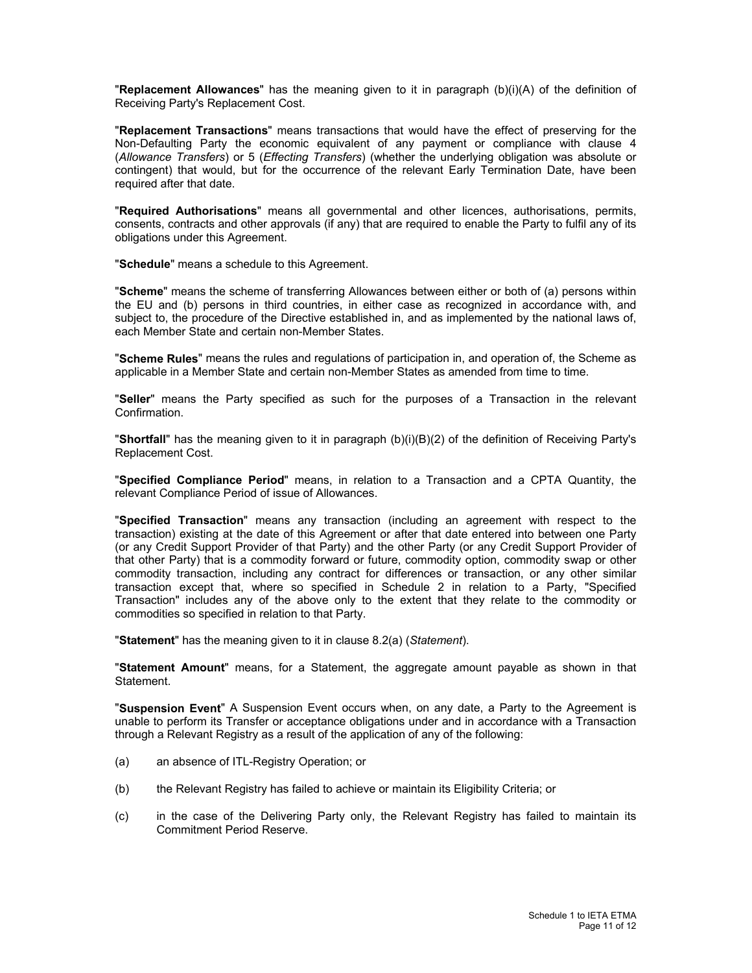"Replacement Allowances" has the meaning given to it in paragraph (b)(i)(A) of the definition of Receiving Party's Replacement Cost.

"Replacement Transactions" means transactions that would have the effect of preserving for the Non-Defaulting Party the economic equivalent of any payment or compliance with clause 4 (Allowance Transfers) or 5 (Effecting Transfers) (whether the underlying obligation was absolute or contingent) that would, but for the occurrence of the relevant Early Termination Date, have been required after that date.

"Required Authorisations" means all governmental and other licences, authorisations, permits, consents, contracts and other approvals (if any) that are required to enable the Party to fulfil any of its obligations under this Agreement.

"Schedule" means a schedule to this Agreement.

"Scheme" means the scheme of transferring Allowances between either or both of (a) persons within the EU and (b) persons in third countries, in either case as recognized in accordance with, and subject to, the procedure of the Directive established in, and as implemented by the national laws of, each Member State and certain non-Member States.

"Scheme Rules" means the rules and regulations of participation in, and operation of, the Scheme as applicable in a Member State and certain non-Member States as amended from time to time.

"Seller" means the Party specified as such for the purposes of a Transaction in the relevant Confirmation.

"Shortfall" has the meaning given to it in paragraph (b)(i)(B)(2) of the definition of Receiving Party's Replacement Cost.

"Specified Compliance Period" means, in relation to a Transaction and a CPTA Quantity, the relevant Compliance Period of issue of Allowances.

"Specified Transaction" means any transaction (including an agreement with respect to the transaction) existing at the date of this Agreement or after that date entered into between one Party (or any Credit Support Provider of that Party) and the other Party (or any Credit Support Provider of that other Party) that is a commodity forward or future, commodity option, commodity swap or other commodity transaction, including any contract for differences or transaction, or any other similar transaction except that, where so specified in Schedule 2 in relation to a Party, "Specified Transaction" includes any of the above only to the extent that they relate to the commodity or commodities so specified in relation to that Party.

"Statement" has the meaning given to it in clause 8.2(a) (Statement).

**"Statement Amount"** means, for a Statement, the aggregate amount payable as shown in that Statement.

"Suspension Event" A Suspension Event occurs when, on any date, a Party to the Agreement is unable to perform its Transfer or acceptance obligations under and in accordance with a Transaction through a Relevant Registry as a result of the application of any of the following:

- (a) an absence of ITL-Registry Operation; or
- (b) the Relevant Registry has failed to achieve or maintain its Eligibility Criteria; or
- (c) in the case of the Delivering Party only, the Relevant Registry has failed to maintain its Commitment Period Reserve.